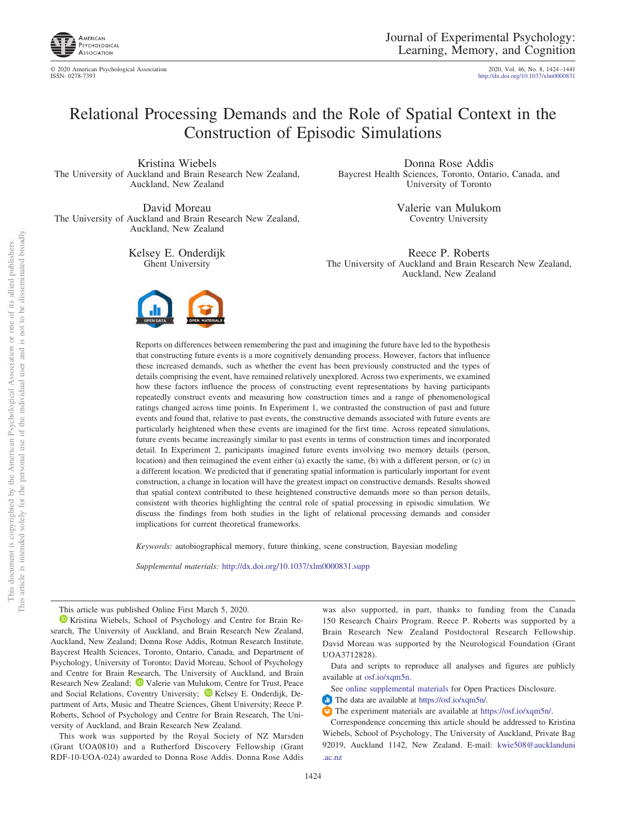

© 2020 American Psychological Association 2020, Vol. 46, No. 8, 1424–1441

http://dx.doi.org[/10.1037/xlm0000831](http://dx.doi.org/10.1037/xlm0000831)

# Relational Processing Demands and the Role of Spatial Context in the Construction of Episodic Simulations

Kristina Wiebels The University of Auckland and Brain Research New Zealand, Auckland, New Zealand

David Moreau The University of Auckland and Brain Research New Zealand, Auckland, New Zealand

> Kelsey E. Onderdijk Ghent University



Donna Rose Addis Baycrest Health Sciences, Toronto, Ontario, Canada, and University of Toronto

> Valerie van Mulukom Coventry University

Reece P. Roberts The University of Auckland and Brain Research New Zealand, Auckland, New Zealand

Reports on differences between remembering the past and imagining the future have led to the hypothesis that constructing future events is a more cognitively demanding process. However, factors that influence these increased demands, such as whether the event has been previously constructed and the types of details comprising the event, have remained relatively unexplored. Across two experiments, we examined how these factors influence the process of constructing event representations by having participants repeatedly construct events and measuring how construction times and a range of phenomenological ratings changed across time points. In Experiment 1, we contrasted the construction of past and future events and found that, relative to past events, the constructive demands associated with future events are particularly heightened when these events are imagined for the first time. Across repeated simulations, future events became increasingly similar to past events in terms of construction times and incorporated detail. In Experiment 2, participants imagined future events involving two memory details (person, location) and then reimagined the event either (a) exactly the same, (b) with a different person, or (c) in a different location. We predicted that if generating spatial information is particularly important for event construction, a change in location will have the greatest impact on constructive demands. Results showed that spatial context contributed to these heightened constructive demands more so than person details, consistent with theories highlighting the central role of spatial processing in episodic simulation. We discuss the findings from both studies in the light of relational processing demands and consider implications for current theoretical frameworks.

*Keywords:* autobiographical memory, future thinking, scene construction, Bayesian modeling

*Supplemental materials:* http://dx.doi.org/10.1037/xlm0000831.supp

This article was published Online First March 5, 2020.

<sup>1</sup> [Kristina Wiebels,](https://orcid.org/0000-0002-5360-5965) School of Psychology and Centre for Brain Research, The University of Auckland, and Brain Research New Zealand, Auckland, New Zealand; Donna Rose Addis, Rotman Research Institute, Baycrest Health Sciences, Toronto, Ontario, Canada, and Department of Psychology, University of Toronto; David Moreau, School of Psychology and Centre for Brain Research, The University of Auckland, and Brain Research New Zealand; <sup>1</sup> [Valerie van Mulukom,](https://orcid.org/0000-0002-0549-7365) Centre for Trust, Peace and Social Relations, Coventry University; <sup>D</sup> [Kelsey E. Onderdijk,](https://orcid.org/0000-0001-9992-7620) Department of Arts, Music and Theatre Sciences, Ghent University; Reece P. Roberts, School of Psychology and Centre for Brain Research, The University of Auckland, and Brain Research New Zealand.

This work was supported by the Royal Society of NZ Marsden (Grant UOA0810) and a Rutherford Discovery Fellowship (Grant RDF-10-UOA-024) awarded to Donna Rose Addis. Donna Rose Addis was also supported, in part, thanks to funding from the Canada 150 Research Chairs Program. Reece P. Roberts was supported by a Brain Research New Zealand Postdoctoral Research Fellowship. David Moreau was supported by the Neurological Foundation (Grant UOA3712828).

Data and scripts to reproduce all analyses and figures are publicly available at [osf.io/xqm5n.](http://osf.io/xqm5n)

See [online supplemental materials](http://dx.doi.org/10.1037/xlm0000831.supp) for Open Practices Disclosure.

The data are available at [https://osf.io/xqm5n/.](https://osf.io/xqm5n/)

The experiment materials are available at [https://osf.io/xqm5n/.](https://osf.io/xqm5n/)

Correspondence concerning this article should be addressed to Kristina Wiebels, School of Psychology, The University of Auckland, Private Bag 92019, Auckland 1142, New Zealand. E-mail: [kwie508@aucklanduni](mailto:kwie508@aucklanduni.ac.nz) [.ac.nz](mailto:kwie508@aucklanduni.ac.nz)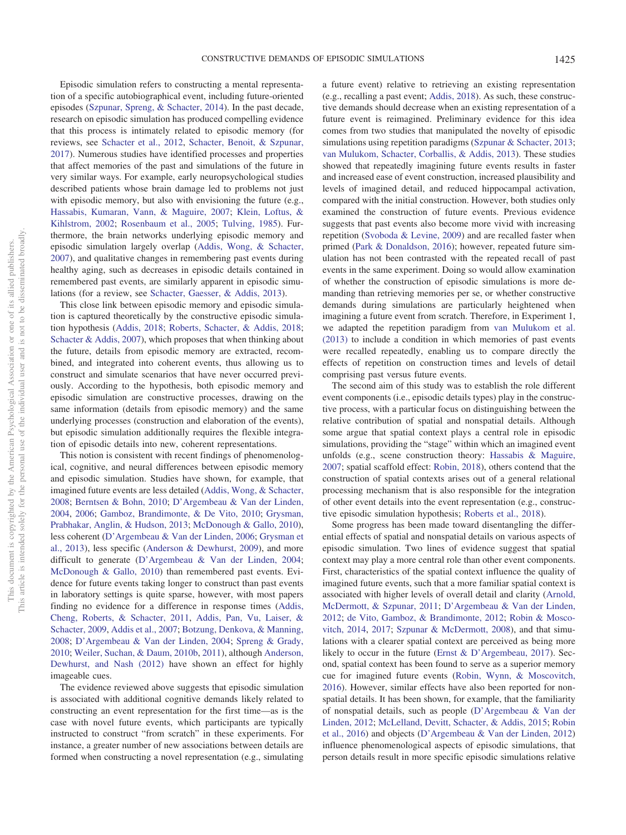Episodic simulation refers to constructing a mental representation of a specific autobiographical event, including future-oriented episodes [\(Szpunar, Spreng, & Schacter, 2014\)](#page-16-0). In the past decade, research on episodic simulation has produced compelling evidence that this process is intimately related to episodic memory (for reviews, see [Schacter et al., 2012,](#page-16-1) [Schacter, Benoit, & Szpunar,](#page-16-2) [2017\)](#page-16-2). Numerous studies have identified processes and properties that affect memories of the past and simulations of the future in very similar ways. For example, early neuropsychological studies described patients whose brain damage led to problems not just with episodic memory, but also with envisioning the future (e.g., [Hassabis, Kumaran, Vann, & Maguire, 2007;](#page-15-0) [Klein, Loftus, &](#page-15-1) [Kihlstrom, 2002;](#page-15-1) [Rosenbaum et al., 2005;](#page-16-3) [Tulving, 1985\)](#page-17-0). Furthermore, the brain networks underlying episodic memory and episodic simulation largely overlap [\(Addis, Wong, & Schacter,](#page-14-0) [2007\)](#page-14-0), and qualitative changes in remembering past events during healthy aging, such as decreases in episodic details contained in remembered past events, are similarly apparent in episodic simulations (for a review, see [Schacter, Gaesser, & Addis, 2013\)](#page-16-4).

This close link between episodic memory and episodic simulation is captured theoretically by the constructive episodic simulation hypothesis [\(Addis, 2018;](#page-14-1) [Roberts, Schacter, & Addis, 2018;](#page-16-5) [Schacter & Addis, 2007\)](#page-16-6), which proposes that when thinking about the future, details from episodic memory are extracted, recombined, and integrated into coherent events, thus allowing us to construct and simulate scenarios that have never occurred previously. According to the hypothesis, both episodic memory and episodic simulation are constructive processes, drawing on the same information (details from episodic memory) and the same underlying processes (construction and elaboration of the events), but episodic simulation additionally requires the flexible integration of episodic details into new, coherent representations.

This notion is consistent with recent findings of phenomenological, cognitive, and neural differences between episodic memory and episodic simulation. Studies have shown, for example, that imagined future events are less detailed [\(Addis, Wong, & Schacter,](#page-14-2) [2008;](#page-14-2) [Berntsen & Bohn, 2010;](#page-15-2) [D'Argembeau & Van der Linden,](#page-15-3) [2004,](#page-15-3) [2006;](#page-15-4) [Gamboz, Brandimonte, & De Vito, 2010;](#page-15-5) [Grysman,](#page-15-6) [Prabhakar, Anglin, & Hudson, 2013;](#page-15-6) [McDonough & Gallo, 2010\)](#page-16-7), less coherent [\(D'Argembeau & Van der Linden, 2006;](#page-15-4) [Grysman et](#page-15-6) [al., 2013\)](#page-15-6), less specific [\(Anderson & Dewhurst, 2009\)](#page-14-3), and more difficult to generate [\(D'Argembeau & Van der Linden, 2004;](#page-15-3) [McDonough & Gallo, 2010\)](#page-16-7) than remembered past events. Evidence for future events taking longer to construct than past events in laboratory settings is quite sparse, however, with most papers finding no evidence for a difference in response times [\(Addis,](#page-14-4) [Cheng, Roberts, & Schacter, 2011,](#page-14-4) [Addis, Pan, Vu, Laiser, &](#page-14-5) [Schacter, 2009,](#page-14-5) [Addis et al., 2007;](#page-14-0) [Botzung, Denkova, & Manning,](#page-15-7) [2008;](#page-15-7) [D'Argembeau & Van der Linden, 2004;](#page-15-3) [Spreng & Grady,](#page-16-8) [2010;](#page-16-8) [Weiler, Suchan, & Daum, 2010b,](#page-17-1) [2011\)](#page-17-2), although [Anderson,](#page-15-8) [Dewhurst, and Nash \(2012\)](#page-15-8) have shown an effect for highly imageable cues.

The evidence reviewed above suggests that episodic simulation is associated with additional cognitive demands likely related to constructing an event representation for the first time—as is the case with novel future events, which participants are typically instructed to construct "from scratch" in these experiments. For instance, a greater number of new associations between details are formed when constructing a novel representation (e.g., simulating a future event) relative to retrieving an existing representation (e.g., recalling a past event; [Addis, 2018\)](#page-14-1). As such, these constructive demands should decrease when an existing representation of a future event is reimagined. Preliminary evidence for this idea comes from two studies that manipulated the novelty of episodic simulations using repetition paradigms [\(Szpunar & Schacter, 2013;](#page-16-9) [van Mulukom, Schacter, Corballis, & Addis, 2013\)](#page-17-3). These studies showed that repeatedly imagining future events results in faster and increased ease of event construction, increased plausibility and levels of imagined detail, and reduced hippocampal activation, compared with the initial construction. However, both studies only examined the construction of future events. Previous evidence suggests that past events also become more vivid with increasing repetition [\(Svoboda & Levine, 2009\)](#page-16-10) and are recalled faster when primed [\(Park & Donaldson, 2016\)](#page-16-11); however, repeated future simulation has not been contrasted with the repeated recall of past events in the same experiment. Doing so would allow examination of whether the construction of episodic simulations is more demanding than retrieving memories per se, or whether constructive demands during simulations are particularly heightened when imagining a future event from scratch. Therefore, in Experiment 1, we adapted the repetition paradigm from [van Mulukom et al.](#page-17-3) [\(2013\)](#page-17-3) to include a condition in which memories of past events were recalled repeatedly, enabling us to compare directly the effects of repetition on construction times and levels of detail comprising past versus future events.

The second aim of this study was to establish the role different event components (i.e., episodic details types) play in the constructive process, with a particular focus on distinguishing between the relative contribution of spatial and nonspatial details. Although some argue that spatial context plays a central role in episodic simulations, providing the "stage" within which an imagined event unfolds (e.g., scene construction theory: [Hassabis & Maguire,](#page-15-9) [2007;](#page-15-9) spatial scaffold effect: [Robin, 2018\)](#page-16-12), others contend that the construction of spatial contexts arises out of a general relational processing mechanism that is also responsible for the integration of other event details into the event representation (e.g., constructive episodic simulation hypothesis; [Roberts et al., 2018\)](#page-16-5).

Some progress has been made toward disentangling the differential effects of spatial and nonspatial details on various aspects of episodic simulation. Two lines of evidence suggest that spatial context may play a more central role than other event components. First, characteristics of the spatial context influence the quality of imagined future events, such that a more familiar spatial context is associated with higher levels of overall detail and clarity [\(Arnold,](#page-15-10) [McDermott, & Szpunar, 2011;](#page-15-10) [D'Argembeau & Van der Linden,](#page-15-11) [2012;](#page-15-11) [de Vito, Gamboz, & Brandimonte, 2012;](#page-15-12) [Robin & Mosco](#page-16-13)[vitch, 2014,](#page-16-13) [2017;](#page-16-14) [Szpunar & McDermott, 2008\)](#page-16-15), and that simulations with a clearer spatial context are perceived as being more likely to occur in the future [\(Ernst & D'Argembeau, 2017\)](#page-15-13). Second, spatial context has been found to serve as a superior memory cue for imagined future events [\(Robin, Wynn, & Moscovitch,](#page-16-16) [2016\)](#page-16-16). However, similar effects have also been reported for nonspatial details. It has been shown, for example, that the familiarity of nonspatial details, such as people [\(D'Argembeau & Van der](#page-15-11) [Linden, 2012;](#page-15-11) [McLelland, Devitt, Schacter, & Addis, 2015;](#page-16-17) [Robin](#page-16-16) [et al., 2016\)](#page-16-16) and objects [\(D'Argembeau & Van der Linden, 2012\)](#page-15-11) influence phenomenological aspects of episodic simulations, that person details result in more specific episodic simulations relative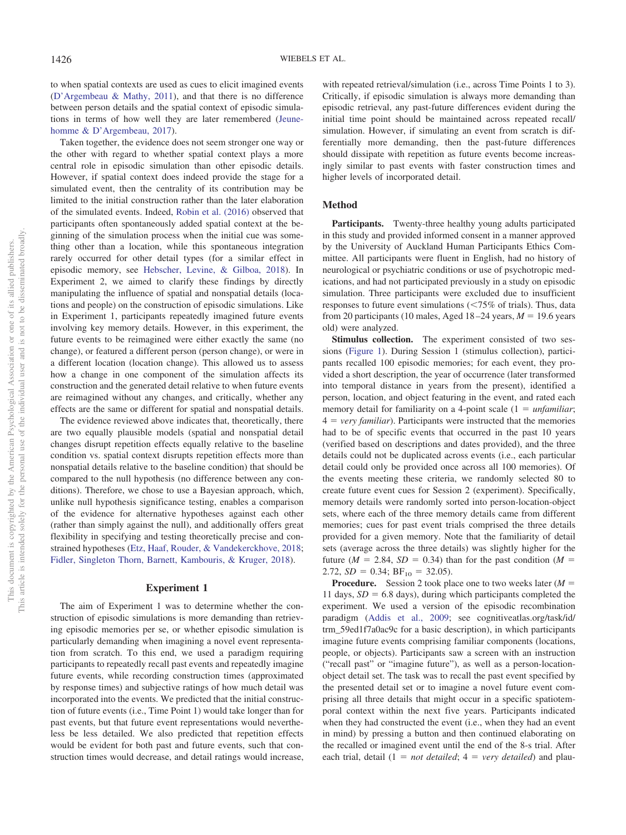to when spatial contexts are used as cues to elicit imagined events [\(D'Argembeau & Mathy, 2011\)](#page-15-14), and that there is no difference between person details and the spatial context of episodic simulations in terms of how well they are later remembered [\(Jeune](#page-15-15)[homme & D'Argembeau, 2017\)](#page-15-15).

Taken together, the evidence does not seem stronger one way or the other with regard to whether spatial context plays a more central role in episodic simulation than other episodic details. However, if spatial context does indeed provide the stage for a simulated event, then the centrality of its contribution may be limited to the initial construction rather than the later elaboration of the simulated events. Indeed, [Robin et al. \(2016\)](#page-16-16) observed that participants often spontaneously added spatial context at the beginning of the simulation process when the initial cue was something other than a location, while this spontaneous integration rarely occurred for other detail types (for a similar effect in episodic memory, see [Hebscher, Levine, & Gilboa, 2018\)](#page-15-16). In Experiment 2, we aimed to clarify these findings by directly manipulating the influence of spatial and nonspatial details (locations and people) on the construction of episodic simulations. Like in Experiment 1, participants repeatedly imagined future events involving key memory details. However, in this experiment, the future events to be reimagined were either exactly the same (no change), or featured a different person (person change), or were in a different location (location change). This allowed us to assess how a change in one component of the simulation affects its construction and the generated detail relative to when future events are reimagined without any changes, and critically, whether any effects are the same or different for spatial and nonspatial details.

The evidence reviewed above indicates that, theoretically, there are two equally plausible models (spatial and nonspatial detail changes disrupt repetition effects equally relative to the baseline condition vs. spatial context disrupts repetition effects more than nonspatial details relative to the baseline condition) that should be compared to the null hypothesis (no difference between any conditions). Therefore, we chose to use a Bayesian approach, which, unlike null hypothesis significance testing, enables a comparison of the evidence for alternative hypotheses against each other (rather than simply against the null), and additionally offers great flexibility in specifying and testing theoretically precise and constrained hypotheses [\(Etz, Haaf, Rouder, & Vandekerckhove, 2018;](#page-15-17) [Fidler, Singleton Thorn, Barnett, Kambouris, & Kruger, 2018\)](#page-15-18).

# **Experiment 1**

The aim of Experiment 1 was to determine whether the construction of episodic simulations is more demanding than retrieving episodic memories per se, or whether episodic simulation is particularly demanding when imagining a novel event representation from scratch. To this end, we used a paradigm requiring participants to repeatedly recall past events and repeatedly imagine future events, while recording construction times (approximated by response times) and subjective ratings of how much detail was incorporated into the events. We predicted that the initial construction of future events (i.e., Time Point 1) would take longer than for past events, but that future event representations would nevertheless be less detailed. We also predicted that repetition effects would be evident for both past and future events, such that construction times would decrease, and detail ratings would increase,

with repeated retrieval/simulation (i.e., across Time Points 1 to 3). Critically, if episodic simulation is always more demanding than episodic retrieval, any past-future differences evident during the initial time point should be maintained across repeated recall/ simulation. However, if simulating an event from scratch is differentially more demanding, then the past-future differences should dissipate with repetition as future events become increasingly similar to past events with faster construction times and higher levels of incorporated detail.

#### **Method**

**Participants.** Twenty-three healthy young adults participated in this study and provided informed consent in a manner approved by the University of Auckland Human Participants Ethics Committee. All participants were fluent in English, had no history of neurological or psychiatric conditions or use of psychotropic medications, and had not participated previously in a study on episodic simulation. Three participants were excluded due to insufficient responses to future event simulations  $\left( \langle 75\% \text{ of trials} \rangle \right)$ . Thus, data from 20 participants (10 males, Aged  $18-24$  years,  $M = 19.6$  years old) were analyzed.

**Stimulus collection.** The experiment consisted of two sessions [\(Figure 1\)](#page-3-0). During Session 1 (stimulus collection), participants recalled 100 episodic memories; for each event, they provided a short description, the year of occurrence (later transformed into temporal distance in years from the present), identified a person, location, and object featuring in the event, and rated each memory detail for familiarity on a 4-point scale  $(1 = *unfamiliar*)$ ;  $4 = \text{very familiar}$ . Participants were instructed that the memories had to be of specific events that occurred in the past 10 years (verified based on descriptions and dates provided), and the three details could not be duplicated across events (i.e., each particular detail could only be provided once across all 100 memories). Of the events meeting these criteria, we randomly selected 80 to create future event cues for Session 2 (experiment). Specifically, memory details were randomly sorted into person-location-object sets, where each of the three memory details came from different memories; cues for past event trials comprised the three details provided for a given memory. Note that the familiarity of detail sets (average across the three details) was slightly higher for the future ( $M = 2.84$ ,  $SD = 0.34$ ) than for the past condition ( $M =$ 2.72,  $SD = 0.34$ ;  $BF_{10} = 32.05$ ).

**Procedure.** Session 2 took place one to two weeks later  $(M =$ 11 days,  $SD = 6.8$  days), during which participants completed the experiment. We used a version of the episodic recombination paradigm [\(Addis et al., 2009;](#page-14-5) see cognitiveatlas.org/task/id/ trm\_59ed1f7a0ac9c for a basic description), in which participants imagine future events comprising familiar components (locations, people, or objects). Participants saw a screen with an instruction ("recall past" or "imagine future"), as well as a person-locationobject detail set. The task was to recall the past event specified by the presented detail set or to imagine a novel future event comprising all three details that might occur in a specific spatiotemporal context within the next five years. Participants indicated when they had constructed the event (i.e., when they had an event in mind) by pressing a button and then continued elaborating on the recalled or imagined event until the end of the 8-s trial. After each trial, detail  $(1 = not detailed; 4 = very detailed)$  and plau-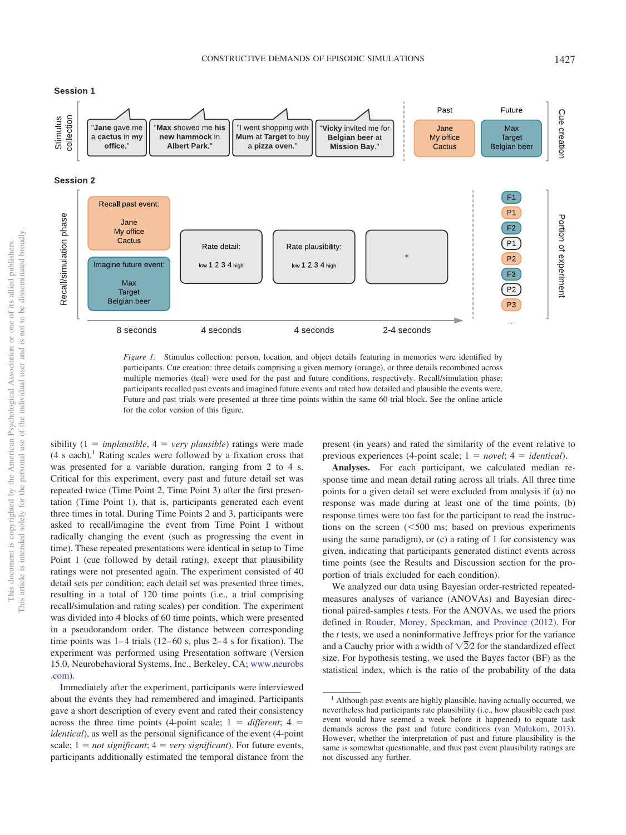Session 1



<span id="page-3-0"></span>*Figure 1.* Stimulus collection: person, location, and object details featuring in memories were identified by participants. Cue creation: three details comprising a given memory (orange), or three details recombined across multiple memories (teal) were used for the past and future conditions, respectively. Recall/simulation phase: participants recalled past events and imagined future events and rated how detailed and plausible the events were. Future and past trials were presented at three time points within the same 60-trial block. See the online article for the color version of this figure.

sibility  $(1 = *implausible*, 4 = *very plausible*)$  ratings were made $(4 \text{ s each})$ <sup>1</sup> Rating scales were followed by a fixation cross that was presented for a variable duration, ranging from 2 to 4 s. Critical for this experiment, every past and future detail set was repeated twice (Time Point 2, Time Point 3) after the first presentation (Time Point 1), that is, participants generated each event three times in total. During Time Points 2 and 3, participants were asked to recall/imagine the event from Time Point 1 without radically changing the event (such as progressing the event in time). These repeated presentations were identical in setup to Time Point 1 (cue followed by detail rating), except that plausibility ratings were not presented again. The experiment consisted of 40 detail sets per condition; each detail set was presented three times, resulting in a total of 120 time points (i.e., a trial comprising recall/simulation and rating scales) per condition. The experiment was divided into 4 blocks of 60 time points, which were presented in a pseudorandom order. The distance between corresponding time points was 1–4 trials (12–60 s, plus 2–4 s for fixation). The experiment was performed using Presentation software (Version 15.0, Neurobehavioral Systems, Inc., Berkeley, CA; [www.neurobs](http://www.neurobs.com) [.com\)](http://www.neurobs.com).

Immediately after the experiment, participants were interviewed about the events they had remembered and imagined. Participants gave a short description of every event and rated their consistency across the three time points (4-point scale;  $1 =$  *different*;  $4 =$ *identical*), as well as the personal significance of the event (4-point scale;  $1 = not significant$ ;  $4 = very significant$ . For future events, participants additionally estimated the temporal distance from the

present (in years) and rated the similarity of the event relative to previous experiences (4-point scale;  $1 = novel$ ;  $4 = identical$ ).

**Analyses.** For each participant, we calculated median response time and mean detail rating across all trials. All three time points for a given detail set were excluded from analysis if (a) no response was made during at least one of the time points, (b) response times were too fast for the participant to read the instructions on the screen  $(< 500$  ms; based on previous experiments using the same paradigm), or (c) a rating of 1 for consistency was given, indicating that participants generated distinct events across time points (see the Results and Discussion section for the proportion of trials excluded for each condition).

We analyzed our data using Bayesian order-restricted repeatedmeasures analyses of variance (ANOVAs) and Bayesian directional paired-samples *t* tests. For the ANOVAs, we used the priors defined in [Rouder, Morey, Speckman, and Province \(2012\).](#page-16-18) For the *t* tests, we used a noninformative Jeffreys prior for the variance and a Cauchy prior with a width of  $\sqrt{22}$  for the standardized effect size. For hypothesis testing, we used the Bayes factor (BF) as the statistical index, which is the ratio of the probability of the data

<sup>&</sup>lt;sup>1</sup> Although past events are highly plausible, having actually occurred, we nevertheless had participants rate plausibility (i.e., how plausible each past event would have seemed a week before it happened) to equate task demands across the past and future conditions [\(van Mulukom, 2013\)](#page-17-4). However, whether the interpretation of past and future plausibility is the same is somewhat questionable, and thus past event plausibility ratings are not discussed any further.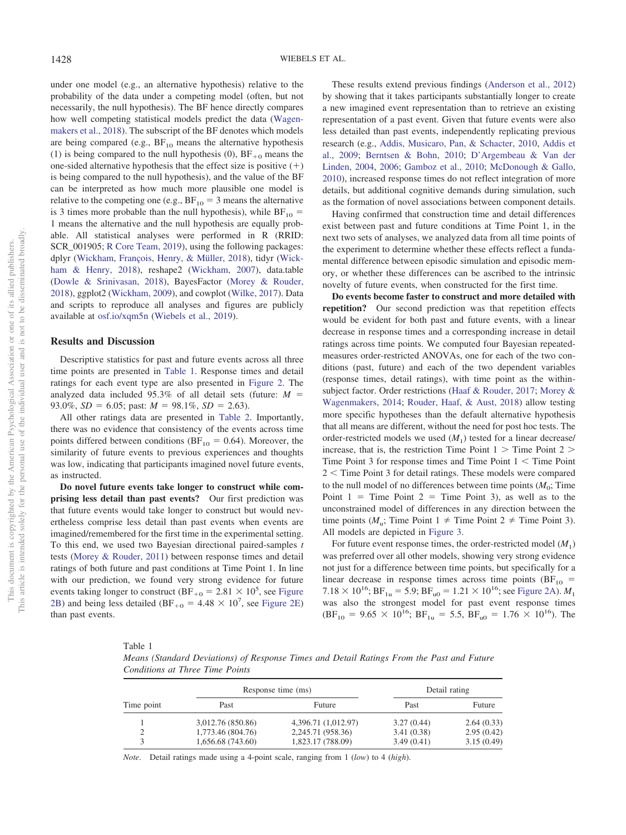under one model (e.g., an alternative hypothesis) relative to the probability of the data under a competing model (often, but not necessarily, the null hypothesis). The BF hence directly compares how well competing statistical models predict the data [\(Wagen](#page-17-5)[makers et al., 2018\)](#page-17-5). The subscript of the BF denotes which models are being compared (e.g.,  $BF_{10}$  means the alternative hypothesis (1) is being compared to the null hypothesis (0),  $BF_{+0}$  means the one-sided alternative hypothesis that the effect size is positive  $(+)$ is being compared to the null hypothesis), and the value of the BF can be interpreted as how much more plausible one model is relative to the competing one (e.g.,  $BF_{10} = 3$  means the alternative is 3 times more probable than the null hypothesis), while  $BF_{10} =$ 1 means the alternative and the null hypothesis are equally probable. All statistical analyses were performed in R (RRID: SCR\_001905; [R Core Team, 2019\)](#page-16-19), using the following packages: dplyr [\(Wickham, François, Henry, & Müller, 2018\)](#page-17-6), tidyr [\(Wick](#page-17-7)[ham & Henry, 2018\)](#page-17-7), reshape2 [\(Wickham, 2007\)](#page-17-8), data.table [\(Dowle & Srinivasan, 2018\)](#page-15-19), BayesFactor [\(Morey & Rouder,](#page-16-20) [2018\)](#page-16-20), ggplot2 [\(Wickham, 2009\)](#page-17-9), and cowplot [\(Wilke, 2017\)](#page-17-10). Data and scripts to reproduce all analyses and figures are publicly available at [osf.io/xqm5n](http://osf.io/xqm5n) [\(Wiebels et al., 2019\)](#page-17-11).

# **Results and Discussion**

Descriptive statistics for past and future events across all three time points are presented in [Table 1.](#page-4-0) Response times and detail ratings for each event type are also presented in [Figure 2.](#page-5-0) The analyzed data included 95.3% of all detail sets (future: *M* 93.0%,  $SD = 6.05$ ; past:  $M = 98.1\%$ ,  $SD = 2.63$ ).

All other ratings data are presented in [Table 2.](#page-5-1) Importantly, there was no evidence that consistency of the events across time points differed between conditions ( $BF_{10} = 0.64$ ). Moreover, the similarity of future events to previous experiences and thoughts was low, indicating that participants imagined novel future events, as instructed.

**Do novel future events take longer to construct while comprising less detail than past events?** Our first prediction was that future events would take longer to construct but would nevertheless comprise less detail than past events when events are imagined/remembered for the first time in the experimental setting. To this end, we used two Bayesian directional paired-samples *t* tests [\(Morey & Rouder, 2011\)](#page-16-21) between response times and detail ratings of both future and past conditions at Time Point 1. In line with our prediction, we found very strong evidence for future events taking longer to construct (BF<sub>+0</sub> = 2.81  $\times$  10<sup>5</sup>, see [Figure](#page-5-0) [2B\)](#page-5-0) and being less detailed (BF<sub>+0</sub> =  $4.48 \times 10^7$ , see [Figure 2E\)](#page-5-0) than past events.

These results extend previous findings [\(Anderson et al., 2012\)](#page-15-8) by showing that it takes participants substantially longer to create a new imagined event representation than to retrieve an existing representation of a past event. Given that future events were also less detailed than past events, independently replicating previous research (e.g., [Addis, Musicaro, Pan, & Schacter, 2010,](#page-14-6) [Addis et](#page-14-5) [al., 2009;](#page-14-5) [Berntsen & Bohn, 2010;](#page-15-2) [D'Argembeau & Van der](#page-15-3) [Linden, 2004,](#page-15-3) [2006;](#page-15-4) [Gamboz et al., 2010;](#page-15-5) [McDonough & Gallo,](#page-16-7) [2010\)](#page-16-7), increased response times do not reflect integration of more details, but additional cognitive demands during simulation, such as the formation of novel associations between component details.

Having confirmed that construction time and detail differences exist between past and future conditions at Time Point 1, in the next two sets of analyses, we analyzed data from all time points of the experiment to determine whether these effects reflect a fundamental difference between episodic simulation and episodic memory, or whether these differences can be ascribed to the intrinsic novelty of future events, when constructed for the first time.

**Do events become faster to construct and more detailed with repetition?** Our second prediction was that repetition effects would be evident for both past and future events, with a linear decrease in response times and a corresponding increase in detail ratings across time points. We computed four Bayesian repeatedmeasures order-restricted ANOVAs, one for each of the two conditions (past, future) and each of the two dependent variables (response times, detail ratings), with time point as the withinsubject factor. Order restrictions [\(Haaf & Rouder, 2017;](#page-15-20) [Morey &](#page-16-22) [Wagenmakers, 2014;](#page-16-22) [Rouder, Haaf, & Aust, 2018\)](#page-16-23) allow testing more specific hypotheses than the default alternative hypothesis that all means are different, without the need for post hoc tests. The order-restricted models we used  $(M_1)$  tested for a linear decrease/ increase, that is, the restriction Time Point  $1 >$  Time Point  $2 >$ Time Point  $3$  for response times and Time Point  $1 <$  Time Point  $2 <$  Time Point 3 for detail ratings. These models were compared to the null model of no differences between time points  $(M_0;$  Time Point  $1 =$  Time Point  $2 =$  Time Point 3), as well as to the unconstrained model of differences in any direction between the time points  $(M_u;$  Time Point  $1 \neq$  Time Point 2  $\neq$  Time Point 3). All models are depicted in [Figure 3.](#page-6-0)

For future event response times, the order-restricted model  $(M_1)$ was preferred over all other models, showing very strong evidence not just for a difference between time points, but specifically for a linear decrease in response times across time points ( $BF_{10}$  =  $7.18 \times 10^{16}$ ; BF<sub>1u</sub> = 5.9; BF<sub>u0</sub> = 1.21  $\times$  10<sup>16</sup>; see [Figure 2A\)](#page-5-0). *M*<sub>1</sub> was also the strongest model for past event response times  $(BF_{10} = 9.65 \times 10^{16}$ ;  $BF_{1u} = 5.5$ ,  $BF_{u0} = 1.76 \times 10^{16}$ ). The

<span id="page-4-0"></span>Table 1

*Means (Standard Deviations) of Response Times and Detail Ratings From the Past and Future Conditions at Three Time Points*

|            |                   | Response time (ms)  | Detail rating |            |  |
|------------|-------------------|---------------------|---------------|------------|--|
| Time point | Past              | <b>Future</b>       | Past          | Future     |  |
|            | 3,012.76 (850.86) | 4,396.71 (1,012.97) | 3.27(0.44)    | 2.64(0.33) |  |
| 2          | 1,773.46 (804.76) | 2,245.71 (958.36)   | 3.41(0.38)    | 2.95(0.42) |  |
| 3          | 1,656.68 (743.60) | 1,823.17 (788.09)   | 3.49(0.41)    | 3.15(0.49) |  |

*Note*. Detail ratings made using a 4-point scale, ranging from 1 (*low*) to 4 (*high*).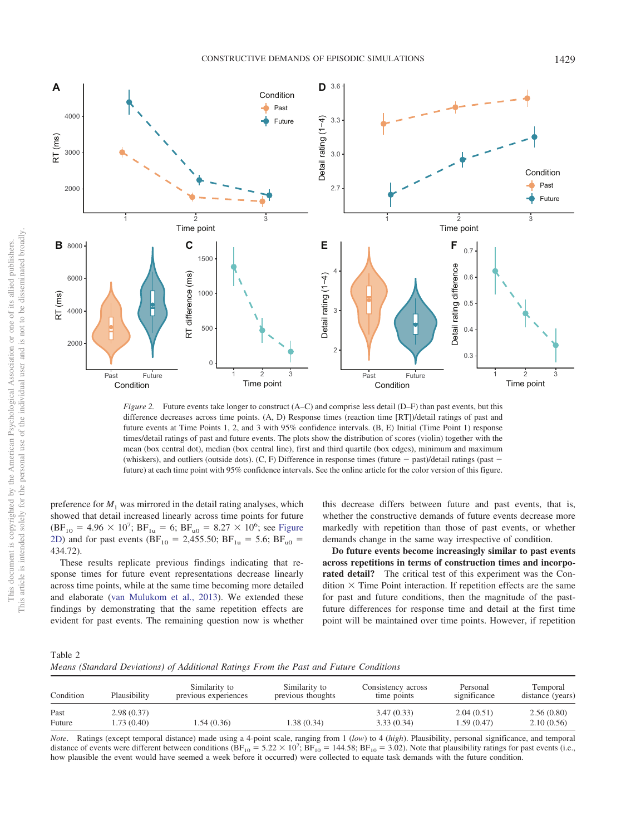

<span id="page-5-0"></span>*Figure 2.* Future events take longer to construct (A–C) and comprise less detail (D–F) than past events, but this difference decreases across time points. (A, D) Response times (reaction time [RT])/detail ratings of past and future events at Time Points 1, 2, and 3 with 95% confidence intervals. (B, E) Initial (Time Point 1) response times/detail ratings of past and future events. The plots show the distribution of scores (violin) together with the mean (box central dot), median (box central line), first and third quartile (box edges), minimum and maximum (whiskers), and outliers (outside dots). (C, F) Difference in response times (future  $-$  past)/detail ratings (past  $$ future) at each time point with 95% confidence intervals. See the online article for the color version of this figure.

preference for  $M_1$  was mirrored in the detail rating analyses, which showed that detail increased linearly across time points for future  $(BF_{10} = 4.96 \times 10^7; BF_{1u} = 6; BF_{u0} = 8.27 \times 10^6;$  see [Figure](#page-5-0) [2D\)](#page-5-0) and for past events (BF<sub>10</sub> = 2,455.50; BF<sub>1u</sub> = 5.6; BF<sub>u0</sub> = 434.72).

These results replicate previous findings indicating that response times for future event representations decrease linearly across time points, while at the same time becoming more detailed and elaborate [\(van Mulukom et al., 2013\)](#page-17-3). We extended these findings by demonstrating that the same repetition effects are evident for past events. The remaining question now is whether this decrease differs between future and past events, that is, whether the constructive demands of future events decrease more markedly with repetition than those of past events, or whether demands change in the same way irrespective of condition.

**Do future events become increasingly similar to past events across repetitions in terms of construction times and incorporated detail?** The critical test of this experiment was the Condition  $\times$  Time Point interaction. If repetition effects are the same for past and future conditions, then the magnitude of the pastfuture differences for response time and detail at the first time point will be maintained over time points. However, if repetition

<span id="page-5-1"></span>

| Table 2                                                                               |  |  |  |  |  |
|---------------------------------------------------------------------------------------|--|--|--|--|--|
| Means (Standard Deviations) of Additional Ratings From the Past and Future Conditions |  |  |  |  |  |

| Condition      | Plausibility             | Similarity to<br>previous experiences | Similarity to<br>previous thoughts | Consistency across<br>time points | Personal<br>significance | Temporal<br>distance (years) |
|----------------|--------------------------|---------------------------------------|------------------------------------|-----------------------------------|--------------------------|------------------------------|
| Past<br>Future | 2.98(0.37)<br>1.73(0.40) | 1.54(0.36)                            | 1.38 (0.34)                        | 3.47(0.33)<br>3.33(0.34)          | 2.04(0.51)<br>1.59(0.47) | 2.56(0.80)<br>2.10(0.56)     |

*Note*. Ratings (except temporal distance) made using a 4-point scale, ranging from 1 (*low*) to 4 (*high*). Plausibility, personal significance, and temporal distance of events were different between conditions ( $BF_{10} = 5.22 \times 10^7$ ;  $BF_{10} = 144.58$ ;  $BF_{10} = 3.02$ ). Note that plausibility ratings for past events (i.e., how plausible the event would have seemed a week before it occurred) were collected to equate task demands with the future condition.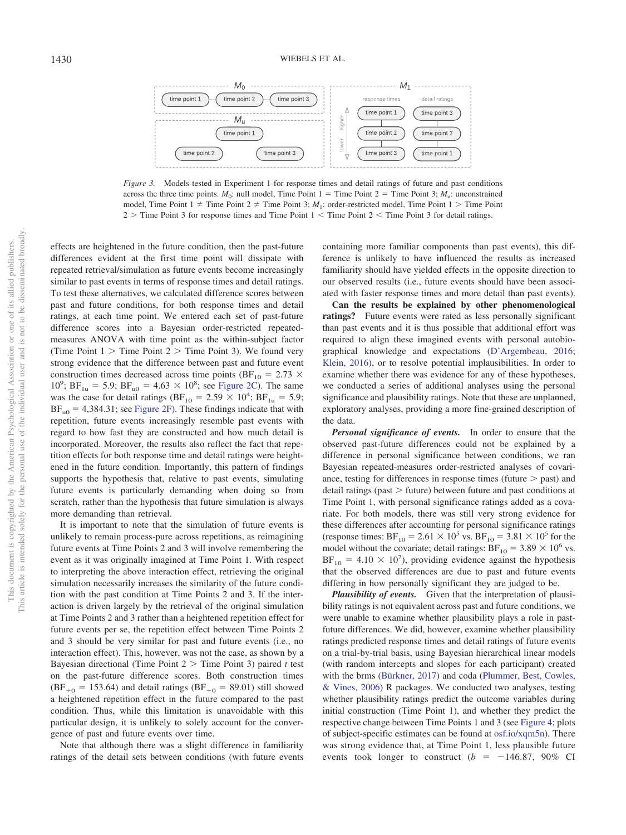

<span id="page-6-0"></span>*Figure 3.* Models tested in Experiment 1 for response times and detail ratings of future and past conditions across the three time points.  $M_0$ : null model, Time Point 1 = Time Point 2 = Time Point 3;  $M_0$ : unconstrained model, Time Point  $1 \neq$  Time Point  $2 \neq$  Time Point 3;  $M_1$ : order-restricted model, Time Point  $1 >$  Time Point  $2 >$  Time Point 3 for response times and Time Point  $1 <$  Time Point  $2 <$  Time Point 3 for detail ratings.

effects are heightened in the future condition, then the past-future differences evident at the first time point will dissipate with repeated retrieval/simulation as future events become increasingly similar to past events in terms of response times and detail ratings. To test these alternatives, we calculated difference scores between past and future conditions, for both response times and detail ratings, at each time point. We entered each set of past-future difference scores into a Bayesian order-restricted repeatedmeasures ANOVA with time point as the within-subject factor (Time Point  $1 >$  Time Point  $2 >$  Time Point 3). We found very strong evidence that the difference between past and future event construction times decreased across time points (BF<sub>10</sub> = 2.73  $\times$  $10^9$ ; BF<sub>1u</sub> = 5.9; BF<sub>u0</sub> = 4.63 × 10<sup>8</sup>; see [Figure 2C\)](#page-5-0). The same was the case for detail ratings (BF<sub>10</sub> = 2.59  $\times$  10<sup>4</sup>; BF<sub>1u</sub> = 5.9;  $BF_{10} = 4,384.31$ ; see [Figure 2F\)](#page-5-0). These findings indicate that with repetition, future events increasingly resemble past events with regard to how fast they are constructed and how much detail is incorporated. Moreover, the results also reflect the fact that repetition effects for both response time and detail ratings were heightened in the future condition. Importantly, this pattern of findings supports the hypothesis that, relative to past events, simulating future events is particularly demanding when doing so from scratch, rather than the hypothesis that future simulation is always more demanding than retrieval.

It is important to note that the simulation of future events is unlikely to remain process-pure across repetitions, as reimagining future events at Time Points 2 and 3 will involve remembering the event as it was originally imagined at Time Point 1. With respect to interpreting the above interaction effect, retrieving the original simulation necessarily increases the similarity of the future condition with the past condition at Time Points 2 and 3. If the interaction is driven largely by the retrieval of the original simulation at Time Points 2 and 3 rather than a heightened repetition effect for future events per se, the repetition effect between Time Points 2 and 3 should be very similar for past and future events (i.e., no interaction effect). This, however, was not the case, as shown by a Bayesian directional (Time Point 2 Time Point 3) paired *t* test on the past-future difference scores. Both construction times  $(BF_{+0} = 153.64)$  and detail ratings  $(BF_{+0} = 89.01)$  still showed a heightened repetition effect in the future compared to the past condition. Thus, while this limitation is unavoidable with this particular design, it is unlikely to solely account for the convergence of past and future events over time.

Note that although there was a slight difference in familiarity ratings of the detail sets between conditions (with future events containing more familiar components than past events), this difference is unlikely to have influenced the results as increased familiarity should have yielded effects in the opposite direction to our observed results (i.e., future events should have been associated with faster response times and more detail than past events).

**Can the results be explained by other phenomenological ratings?** Future events were rated as less personally significant than past events and it is thus possible that additional effort was required to align these imagined events with personal autobiographical knowledge and expectations [\(D'Argembeau, 2016;](#page-15-21) [Klein, 2016\)](#page-15-22), or to resolve potential implausibilities. In order to examine whether there was evidence for any of these hypotheses, we conducted a series of additional analyses using the personal significance and plausibility ratings. Note that these are unplanned, exploratory analyses, providing a more fine-grained description of the data.

*Personal significance of events.* In order to ensure that the observed past-future differences could not be explained by a difference in personal significance between conditions, we ran Bayesian repeated-measures order-restricted analyses of covariance, testing for differences in response times (future  $>$  past) and detail ratings (past  $>$  future) between future and past conditions at Time Point 1, with personal significance ratings added as a covariate. For both models, there was still very strong evidence for these differences after accounting for personal significance ratings (response times:  $BF_{10} = 2.61 \times 10^5$  vs.  $BF_{10} = 3.81 \times 10^5$  for the model without the covariate; detail ratings:  $BF_{10} = 3.89 \times 10^6$  vs.  $BF_{10} = 4.10 \times 10^7$ , providing evidence against the hypothesis that the observed differences are due to past and future events differing in how personally significant they are judged to be.

*Plausibility of events.* Given that the interpretation of plausibility ratings is not equivalent across past and future conditions, we were unable to examine whether plausibility plays a role in pastfuture differences. We did, however, examine whether plausibility ratings predicted response times and detail ratings of future events on a trial-by-trial basis, using Bayesian hierarchical linear models (with random intercepts and slopes for each participant) created with the brms [\(Bürkner, 2017\)](#page-15-23) and coda [\(Plummer, Best, Cowles,](#page-16-24) [& Vines, 2006\)](#page-16-24) R packages. We conducted two analyses, testing whether plausibility ratings predict the outcome variables during initial construction (Time Point 1), and whether they predict the respective change between Time Points 1 and 3 (see [Figure 4;](#page-7-0) plots of subject-specific estimates can be found at [osf.io/xqm5n\)](http://osf.io/xqm5n). There was strong evidence that, at Time Point 1, less plausible future events took longer to construct  $(b = -146.87, 90\% \text{ CI}$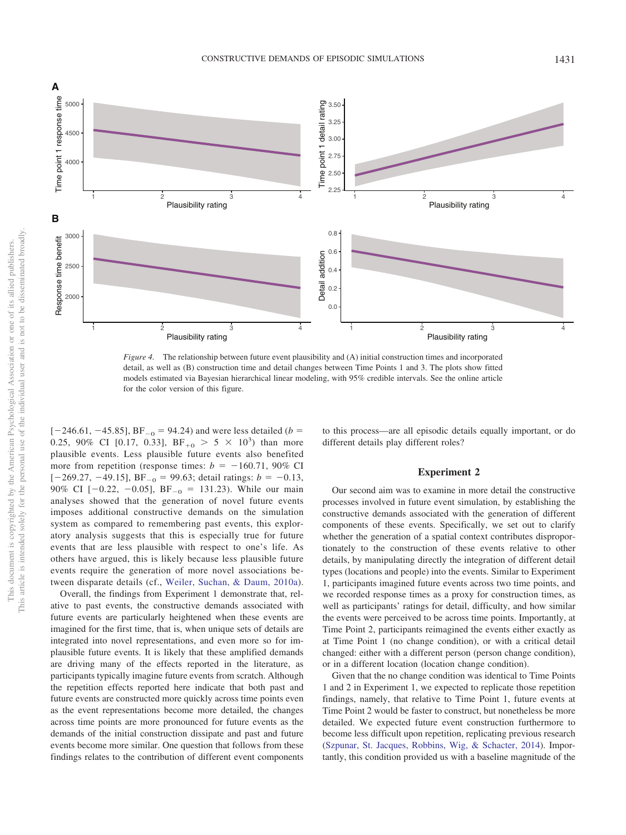

<span id="page-7-0"></span>*Figure 4.* The relationship between future event plausibility and (A) initial construction times and incorporated detail, as well as (B) construction time and detail changes between Time Points 1 and 3. The plots show fitted models estimated via Bayesian hierarchical linear modeling, with 95% credible intervals. See the online article for the color version of this figure.

 $[-246.61, -45.85]$ , BF<sub>-0</sub> = 94.24) and were less detailed (*b* = 0.25, 90% CI [0.17, 0.33],  $BF_{+0} > 5 \times 10^3$  than more plausible events. Less plausible future events also benefited more from repetition (response times:  $b = -160.71$ , 90% CI  $[-269.27, -49.15]$ , BF<sub>-0</sub> = 99.63; detail ratings:  $b = -0.13$ , 90% CI  $[-0.22, -0.05]$ ,  $BF_{-0} = 131.23$ ). While our main analyses showed that the generation of novel future events imposes additional constructive demands on the simulation system as compared to remembering past events, this exploratory analysis suggests that this is especially true for future events that are less plausible with respect to one's life. As others have argued, this is likely because less plausible future events require the generation of more novel associations between disparate details (cf., [Weiler, Suchan, & Daum, 2010a\)](#page-17-12).

Overall, the findings from Experiment 1 demonstrate that, relative to past events, the constructive demands associated with future events are particularly heightened when these events are imagined for the first time, that is, when unique sets of details are integrated into novel representations, and even more so for implausible future events. It is likely that these amplified demands are driving many of the effects reported in the literature, as participants typically imagine future events from scratch. Although the repetition effects reported here indicate that both past and future events are constructed more quickly across time points even as the event representations become more detailed, the changes across time points are more pronounced for future events as the demands of the initial construction dissipate and past and future events become more similar. One question that follows from these findings relates to the contribution of different event components to this process—are all episodic details equally important, or do different details play different roles?

## **Experiment 2**

Our second aim was to examine in more detail the constructive processes involved in future event simulation, by establishing the constructive demands associated with the generation of different components of these events. Specifically, we set out to clarify whether the generation of a spatial context contributes disproportionately to the construction of these events relative to other details, by manipulating directly the integration of different detail types (locations and people) into the events. Similar to Experiment 1, participants imagined future events across two time points, and we recorded response times as a proxy for construction times, as well as participants' ratings for detail, difficulty, and how similar the events were perceived to be across time points. Importantly, at Time Point 2, participants reimagined the events either exactly as at Time Point 1 (no change condition), or with a critical detail changed: either with a different person (person change condition), or in a different location (location change condition).

Given that the no change condition was identical to Time Points 1 and 2 in Experiment 1, we expected to replicate those repetition findings, namely, that relative to Time Point 1, future events at Time Point 2 would be faster to construct, but nonetheless be more detailed. We expected future event construction furthermore to become less difficult upon repetition, replicating previous research [\(Szpunar, St. Jacques, Robbins, Wig, & Schacter, 2014\)](#page-17-13). Importantly, this condition provided us with a baseline magnitude of the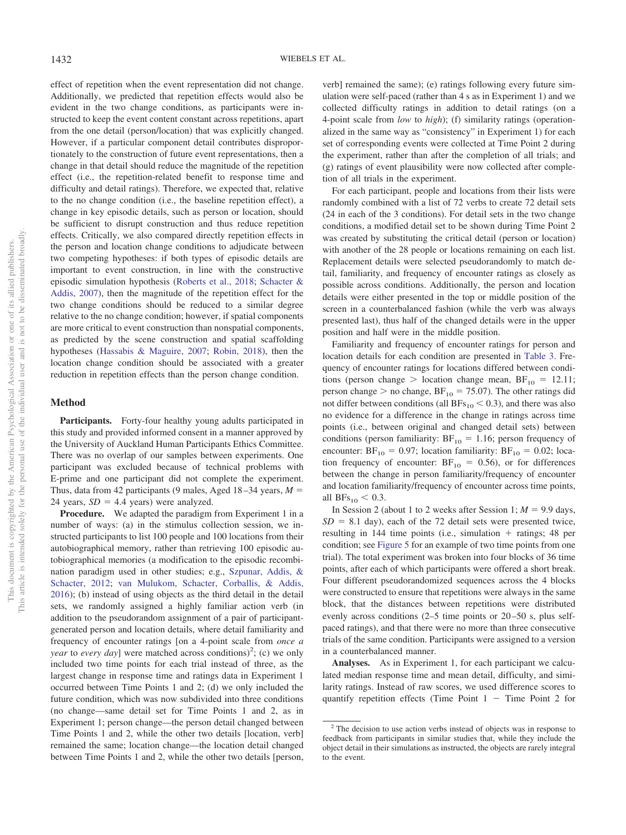effect of repetition when the event representation did not change. Additionally, we predicted that repetition effects would also be evident in the two change conditions, as participants were instructed to keep the event content constant across repetitions, apart from the one detail (person/location) that was explicitly changed. However, if a particular component detail contributes disproportionately to the construction of future event representations, then a change in that detail should reduce the magnitude of the repetition effect (i.e., the repetition-related benefit to response time and difficulty and detail ratings). Therefore, we expected that, relative to the no change condition (i.e., the baseline repetition effect), a change in key episodic details, such as person or location, should be sufficient to disrupt construction and thus reduce repetition effects. Critically, we also compared directly repetition effects in the person and location change conditions to adjudicate between two competing hypotheses: if both types of episodic details are important to event construction, in line with the constructive episodic simulation hypothesis [\(Roberts et al., 2018;](#page-16-5) [Schacter &](#page-16-6) [Addis, 2007\)](#page-16-6), then the magnitude of the repetition effect for the two change conditions should be reduced to a similar degree relative to the no change condition; however, if spatial components are more critical to event construction than nonspatial components, as predicted by the scene construction and spatial scaffolding hypotheses [\(Hassabis & Maguire, 2007;](#page-15-9) [Robin, 2018\)](#page-16-12), then the location change condition should be associated with a greater reduction in repetition effects than the person change condition.

#### **Method**

Participants. Forty-four healthy young adults participated in this study and provided informed consent in a manner approved by the University of Auckland Human Participants Ethics Committee. There was no overlap of our samples between experiments. One participant was excluded because of technical problems with E-prime and one participant did not complete the experiment. Thus, data from 42 participants (9 males, Aged 18–34 years, *M* 24 years,  $SD = 4.4$  years) were analyzed.

**Procedure.** We adapted the paradigm from Experiment 1 in a number of ways: (a) in the stimulus collection session, we instructed participants to list 100 people and 100 locations from their autobiographical memory, rather than retrieving 100 episodic autobiographical memories (a modification to the episodic recombination paradigm used in other studies; e.g., [Szpunar, Addis, &](#page-16-25) [Schacter, 2012;](#page-16-25) [van Mulukom, Schacter, Corballis, & Addis,](#page-17-14) [2016\)](#page-17-14); (b) instead of using objects as the third detail in the detail sets, we randomly assigned a highly familiar action verb (in addition to the pseudorandom assignment of a pair of participantgenerated person and location details, where detail familiarity and frequency of encounter ratings [on a 4-point scale from *once a year* to *every day*] were matched across conditions)<sup>2</sup>; (c) we only included two time points for each trial instead of three, as the largest change in response time and ratings data in Experiment 1 occurred between Time Points 1 and 2; (d) we only included the future condition, which was now subdivided into three conditions (no change—same detail set for Time Points 1 and 2, as in Experiment 1; person change—the person detail changed between Time Points 1 and 2, while the other two details [location, verb] remained the same; location change—the location detail changed between Time Points 1 and 2, while the other two details [person,

verb] remained the same); (e) ratings following every future simulation were self-paced (rather than 4 s as in Experiment 1) and we collected difficulty ratings in addition to detail ratings (on a 4-point scale from *low* to *high*); (f) similarity ratings (operationalized in the same way as "consistency" in Experiment 1) for each set of corresponding events were collected at Time Point 2 during the experiment, rather than after the completion of all trials; and (g) ratings of event plausibility were now collected after completion of all trials in the experiment.

For each participant, people and locations from their lists were randomly combined with a list of 72 verbs to create 72 detail sets (24 in each of the 3 conditions). For detail sets in the two change conditions, a modified detail set to be shown during Time Point 2 was created by substituting the critical detail (person or location) with another of the 28 people or locations remaining on each list. Replacement details were selected pseudorandomly to match detail, familiarity, and frequency of encounter ratings as closely as possible across conditions. Additionally, the person and location details were either presented in the top or middle position of the screen in a counterbalanced fashion (while the verb was always presented last), thus half of the changed details were in the upper position and half were in the middle position.

Familiarity and frequency of encounter ratings for person and location details for each condition are presented in [Table 3.](#page-9-0) Frequency of encounter ratings for locations differed between conditions (person change  $>$  location change mean, BF<sub>10</sub> = 12.11; person change  $>$  no change, BF<sub>10</sub> = 75.07). The other ratings did not differ between conditions (all  $BFs_{10} < 0.3$ ), and there was also no evidence for a difference in the change in ratings across time points (i.e., between original and changed detail sets) between conditions (person familiarity:  $BF_{10} = 1.16$ ; person frequency of encounter:  $BF_{10} = 0.97$ ; location familiarity:  $BF_{10} = 0.02$ ; location frequency of encounter:  $BF_{10} = 0.56$ ), or for differences between the change in person familiarity/frequency of encounter and location familiarity/frequency of encounter across time points, all  $BFs_{10} < 0.3$ .

In Session 2 (about 1 to 2 weeks after Session 1;  $M = 9.9$  days,  $SD = 8.1$  day), each of the 72 detail sets were presented twice, resulting in  $144$  time points (i.e., simulation  $+$  ratings; 48 per condition; see [Figure 5](#page-9-1) for an example of two time points from one trial). The total experiment was broken into four blocks of 36 time points, after each of which participants were offered a short break. Four different pseudorandomized sequences across the 4 blocks were constructed to ensure that repetitions were always in the same block, that the distances between repetitions were distributed evenly across conditions (2–5 time points or 20–50 s, plus selfpaced ratings), and that there were no more than three consecutive trials of the same condition. Participants were assigned to a version in a counterbalanced manner.

**Analyses.** As in Experiment 1, for each participant we calculated median response time and mean detail, difficulty, and similarity ratings. Instead of raw scores, we used difference scores to quantify repetition effects (Time Point  $1 -$  Time Point 2 for

<sup>2</sup> The decision to use action verbs instead of objects was in response to feedback from participants in similar studies that, while they include the object detail in their simulations as instructed, the objects are rarely integral to the event.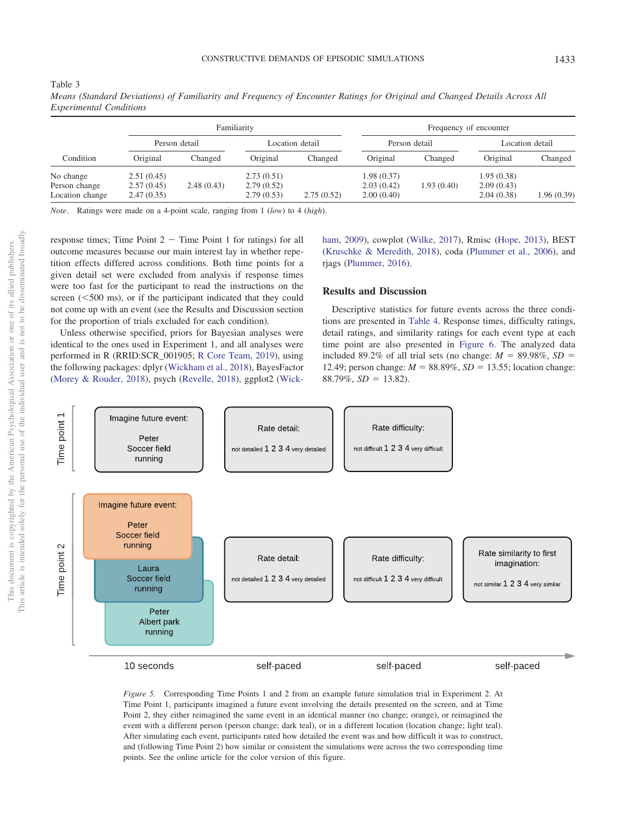Location change 2.47 (0.35) 2.79 (0.53) 2.75 (0.52) 2.00 (0.40) 2.04 (0.38) 1.96 (0.39)

| perimental Conditions |          |               |             |                 |          |                        |          |                 |
|-----------------------|----------|---------------|-------------|-----------------|----------|------------------------|----------|-----------------|
|                       |          |               | Familiarity |                 |          | Frequency of encounter |          |                 |
|                       |          | Person detail |             | Location detail |          | Person detail          |          | Location detail |
| Condition             | Original | Changed       | Original    | Changed         | Original | Changed                | Original | Changed         |

*Means (Standard Deviations) of Familiarity and Frequency of Encounter Ratings for Original and Changed Details Across All Experimenta* 

No change 2.51 (0.45) 2.73 (0.51) 1.98 (0.37) 1.95 (0.38) Person change 2.57 (0.45) 2.48 (0.43) 2.79 (0.52) 2.03 (0.42) 1.93 (0.40) 2.09 (0.43)

*Note*. Ratings were made on a 4-point scale, ranging from 1 (*low*) to 4 (*high*).

response times; Time Point  $2 -$  Time Point 1 for ratings) for all outcome measures because our main interest lay in whether repetition effects differed across conditions. Both time points for a given detail set were excluded from analysis if response times were too fast for the participant to read the instructions on the screen  $(<500 \text{ ms})$ , or if the participant indicated that they could not come up with an event (see the Results and Discussion section for the proportion of trials excluded for each condition).

Unless otherwise specified, priors for Bayesian analyses were identical to the ones used in Experiment 1, and all analyses were performed in R (RRID:SCR\_001905; [R Core Team, 2019\)](#page-16-19), using the following packages: dplyr [\(Wickham et al., 2018\)](#page-17-6), BayesFactor [\(Morey & Rouder, 2018\)](#page-16-20), psych [\(Revelle, 2018\)](#page-16-26), ggplot2 [\(Wick-](#page-17-9) [ham, 2009\)](#page-17-9), cowplot [\(Wilke, 2017\)](#page-17-10), Rmisc [\(Hope, 2013\)](#page-15-24), BEST [\(Kruschke & Meredith, 2018\)](#page-15-25), coda [\(Plummer et al., 2006\)](#page-16-24), and rjags [\(Plummer, 2016\)](#page-16-27).

#### **Results and Discussion**

Descriptive statistics for future events across the three conditions are presented in [Table 4.](#page-10-0) Response times, difficulty ratings, detail ratings, and similarity ratings for each event type at each time point are also presented in [Figure 6.](#page-10-1) The analyzed data included 89.2% of all trial sets (no change:  $M = 89.98\%$ ,  $SD =$ 12.49; person change:  $M = 88.89\%$ ,  $SD = 13.55$ ; location change:  $88.79\%$ ,  $SD = 13.82$ ).



<span id="page-9-1"></span>*Figure 5.* Corresponding Time Points 1 and 2 from an example future simulation trial in Experiment 2. At Time Point 1, participants imagined a future event involving the details presented on the screen, and at Time Point 2, they either reimagined the same event in an identical manner (no change; orange), or reimagined the event with a different person (person change; dark teal), or in a different location (location change; light teal). After simulating each event, participants rated how detailed the event was and how difficult it was to construct, and (following Time Point 2) how similar or consistent the simulations were across the two corresponding time points. See the online article for the color version of this figure.

<span id="page-9-0"></span>Table 3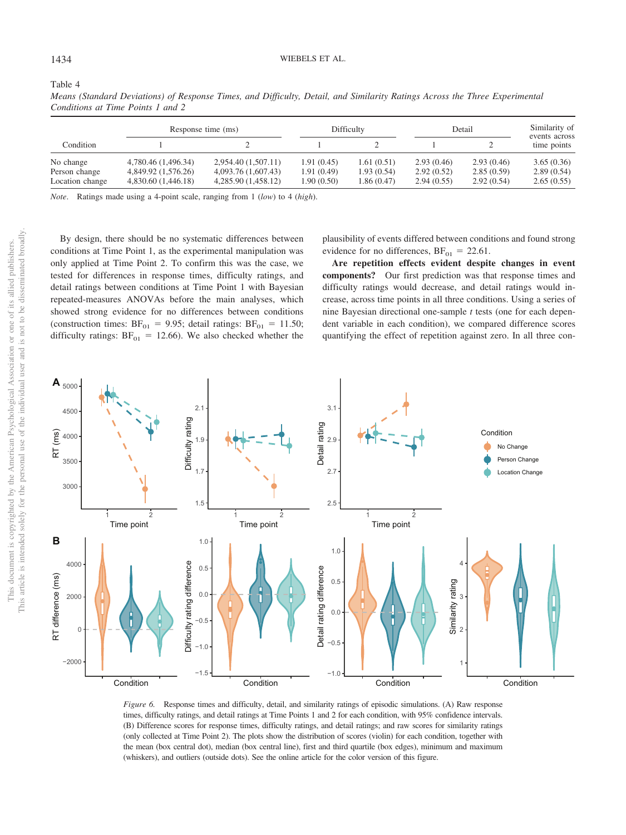<span id="page-10-0"></span>Table 4

| Means (Standard Deviations) of Response Times, and Difficulty, Detail, and Similarity Ratings Across the Three Experimental |  |  |  |  |  |
|-----------------------------------------------------------------------------------------------------------------------------|--|--|--|--|--|
| Conditions at Time Points 1 and 2                                                                                           |  |  |  |  |  |

|                 | Response time (ms)  |                     | Difficulty | Detail      | Similarity of |            |                              |
|-----------------|---------------------|---------------------|------------|-------------|---------------|------------|------------------------------|
| Condition       |                     |                     |            |             |               |            | events across<br>time points |
| No change       | 4,780.46 (1,496.34) | 2,954.40 (1,507.11) | 1.91(0.45) | 1.61(0.51)  | 2.93(0.46)    | 2.93(0.46) | 3.65(0.36)                   |
| Person change   | 4,849.92 (1,576.26) | 4,093.76 (1,607.43) | 1.91(0.49) | 1.93(0.54)  | 2.92(0.52)    | 2.85(0.59) | 2.89(0.54)                   |
| Location change | 4,830.60 (1,446.18) | 4,285.90 (1,458.12) | 1.90(0.50) | 1.86 (0.47) | 2.94(0.55)    | 2.92(0.54) | 2.65(0.55)                   |

*Note*. Ratings made using a 4-point scale, ranging from 1 (*low*) to 4 (*high*).

By design, there should be no systematic differences between conditions at Time Point 1, as the experimental manipulation was only applied at Time Point 2. To confirm this was the case, we tested for differences in response times, difficulty ratings, and detail ratings between conditions at Time Point 1 with Bayesian repeated-measures ANOVAs before the main analyses, which showed strong evidence for no differences between conditions (construction times:  $BF_{01} = 9.95$ ; detail ratings:  $BF_{01} = 11.50$ ; difficulty ratings:  $BF_{01} = 12.66$ ). We also checked whether the

plausibility of events differed between conditions and found strong evidence for no differences,  $BF_{01} = 22.61$ .

**Are repetition effects evident despite changes in event components?** Our first prediction was that response times and difficulty ratings would decrease, and detail ratings would increase, across time points in all three conditions. Using a series of nine Bayesian directional one-sample *t* tests (one for each dependent variable in each condition), we compared difference scores quantifying the effect of repetition against zero. In all three con-



<span id="page-10-1"></span>*Figure 6.* Response times and difficulty, detail, and similarity ratings of episodic simulations. (A) Raw response times, difficulty ratings, and detail ratings at Time Points 1 and 2 for each condition, with 95% confidence intervals. (B) Difference scores for response times, difficulty ratings, and detail ratings; and raw scores for similarity ratings (only collected at Time Point 2). The plots show the distribution of scores (violin) for each condition, together with the mean (box central dot), median (box central line), first and third quartile (box edges), minimum and maximum (whiskers), and outliers (outside dots). See the online article for the color version of this figure.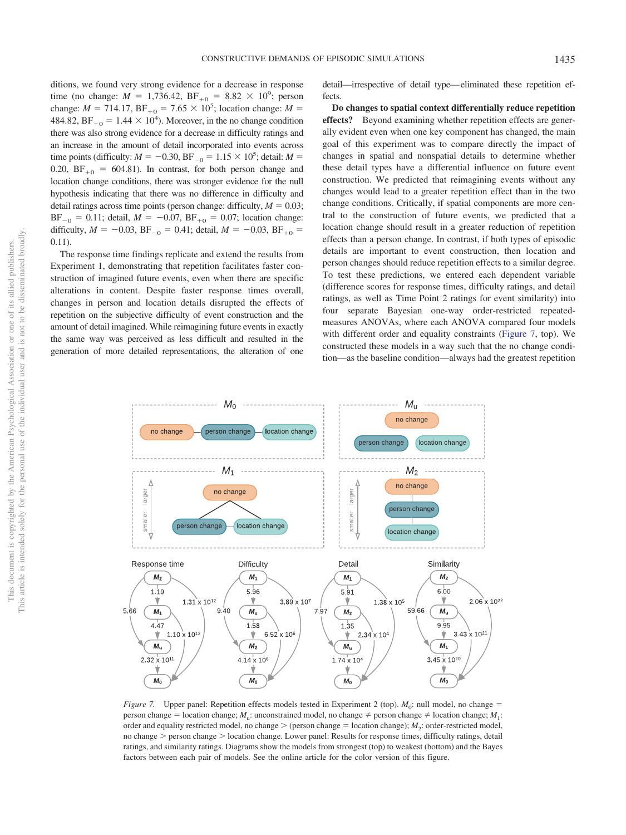ditions, we found very strong evidence for a decrease in response time (no change:  $M = 1,736.42, \text{BF}_{+0} = 8.82 \times 10^9$ ; person change:  $M = 714.17$ ,  $BF_{+0} = 7.65 \times 10^5$ ; location change:  $M =$ 484.82,  $BF_{+0} = 1.44 \times 10^4$ ). Moreover, in the no change condition there was also strong evidence for a decrease in difficulty ratings and an increase in the amount of detail incorporated into events across time points (difficulty:  $M = -0.30$ , BF<sub>-0</sub> = 1.15  $\times$  10<sup>5</sup>; detail:  $M =$ 0.20,  $BF_{+0} = 604.81$ . In contrast, for both person change and location change conditions, there was stronger evidence for the null hypothesis indicating that there was no difference in difficulty and detail ratings across time points (person change: difficulty,  $M = 0.03$ ;  $BF_{-0} = 0.11$ ; detail,  $M = -0.07$ ,  $BF_{+0} = 0.07$ ; location change: difficulty,  $M = -0.03$ ,  $BF_{-0} = 0.41$ ; detail,  $M = -0.03$ ,  $BF_{+0} =$ 0.11).

The response time findings replicate and extend the results from Experiment 1, demonstrating that repetition facilitates faster construction of imagined future events, even when there are specific alterations in content. Despite faster response times overall, changes in person and location details disrupted the effects of repetition on the subjective difficulty of event construction and the amount of detail imagined. While reimagining future events in exactly the same way was perceived as less difficult and resulted in the generation of more detailed representations, the alteration of one

detail—irrespective of detail type—eliminated these repetition effects.

**Do changes to spatial context differentially reduce repetition effects?** Beyond examining whether repetition effects are generally evident even when one key component has changed, the main goal of this experiment was to compare directly the impact of changes in spatial and nonspatial details to determine whether these detail types have a differential influence on future event construction. We predicted that reimagining events without any changes would lead to a greater repetition effect than in the two change conditions. Critically, if spatial components are more central to the construction of future events, we predicted that a location change should result in a greater reduction of repetition effects than a person change. In contrast, if both types of episodic details are important to event construction, then location and person changes should reduce repetition effects to a similar degree. To test these predictions, we entered each dependent variable (difference scores for response times, difficulty ratings, and detail ratings, as well as Time Point 2 ratings for event similarity) into four separate Bayesian one-way order-restricted repeatedmeasures ANOVAs, where each ANOVA compared four models with different order and equality constraints [\(Figure 7,](#page-11-0) top). We constructed these models in a way such that the no change condition—as the baseline condition—always had the greatest repetition



<span id="page-11-0"></span>*Figure 7.* Upper panel: Repetition effects models tested in Experiment 2 (top).  $M_0$ : null model, no change = person change = location change; *M*<sub>u</sub>: unconstrained model, no change  $\neq$  person change  $\neq$  location change; *M*<sub>1</sub>: order and equality restricted model, no change  $>$  (person change  $=$  location change);  $M_2$ : order-restricted model, no change > person change > location change. Lower panel: Results for response times, difficulty ratings, detail ratings, and similarity ratings. Diagrams show the models from strongest (top) to weakest (bottom) and the Bayes factors between each pair of models. See the online article for the color version of this figure.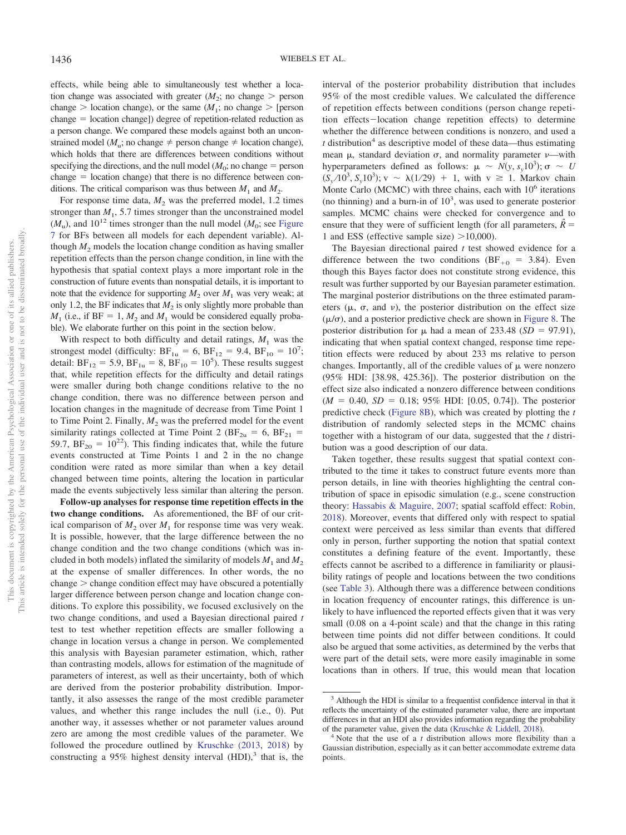effects, while being able to simultaneously test whether a location change was associated with greater  $(M_2; \text{ no change} > \text{person})$ change  $>$  location change), or the same ( $M_1$ ; no change  $>$  [person  $change = location change$ ) degree of repetition-related reduction as a person change. We compared these models against both an unconstrained model ( $M_{\rm u}$ ; no change  $\neq$  person change  $\neq$  location change), which holds that there are differences between conditions without specifying the directions, and the null model  $(M_0; \text{no change} = \text{person})$  $change = location change)$  that there is no difference between conditions. The critical comparison was thus between  $M_1$  and  $M_2$ .

For response time data,  $M_2$  was the preferred model, 1.2 times stronger than  $M_1$ , 5.7 times stronger than the unconstrained model  $(M<sub>u</sub>)$ , and 10<sup>12</sup> times stronger than the null model  $(M<sub>0</sub>)$ ; see [Figure](#page-11-0) [7](#page-11-0) for BFs between all models for each dependent variable). Although  $M<sub>2</sub>$  models the location change condition as having smaller repetition effects than the person change condition, in line with the hypothesis that spatial context plays a more important role in the construction of future events than nonspatial details, it is important to note that the evidence for supporting  $M_2$  over  $M_1$  was very weak; at only 1.2, the BF indicates that  $M_2$  is only slightly more probable than  $M_1$  (i.e., if  $BF = 1$ ,  $M_2$  and  $M_1$  would be considered equally probable). We elaborate further on this point in the section below.

With respect to both difficulty and detail ratings,  $M_1$  was the strongest model (difficulty:  $BF_{1u} = 6$ ,  $BF_{12} = 9.4$ ,  $BF_{10} = 10^{7}$ ; detail:  $BF_{12} = 5.9$ ,  $BF_{1u} = 8$ ,  $BF_{10} = 10^5$ ). These results suggest that, while repetition effects for the difficulty and detail ratings were smaller during both change conditions relative to the no change condition, there was no difference between person and location changes in the magnitude of decrease from Time Point 1 to Time Point 2. Finally,  $M_2$  was the preferred model for the event similarity ratings collected at Time Point 2 ( $BF_{2u} = 6$ ,  $BF_{21} =$ 59.7,  $BF_{20} = 10^{22}$ ). This finding indicates that, while the future events constructed at Time Points 1 and 2 in the no change condition were rated as more similar than when a key detail changed between time points, altering the location in particular made the events subjectively less similar than altering the person.

**Follow-up analyses for response time repetition effects in the two change conditions.** As aforementioned, the BF of our critical comparison of  $M_2$  over  $M_1$  for response time was very weak. It is possible, however, that the large difference between the no change condition and the two change conditions (which was included in both models) inflated the similarity of models  $M_1$  and  $M_2$ at the expense of smaller differences. In other words, the no  $change$   $>$  change condition effect may have obscured a potentially larger difference between person change and location change conditions. To explore this possibility, we focused exclusively on the two change conditions, and used a Bayesian directional paired *t* test to test whether repetition effects are smaller following a change in location versus a change in person. We complemented this analysis with Bayesian parameter estimation, which, rather than contrasting models, allows for estimation of the magnitude of parameters of interest, as well as their uncertainty, both of which are derived from the posterior probability distribution. Importantly, it also assesses the range of the most credible parameter values, and whether this range includes the null (i.e., 0). Put another way, it assesses whether or not parameter values around zero are among the most credible values of the parameter. We followed the procedure outlined by [Kruschke \(2013,](#page-15-26) [2018\)](#page-15-27) by constructing a 95% highest density interval  $(HDI)$ ,<sup>3</sup> that is, the

interval of the posterior probability distribution that includes 95% of the most credible values. We calculated the difference of repetition effects between conditions (person change repetition effects-location change repetition effects) to determine whether the difference between conditions is nonzero, and used a  $t$  distribution<sup>4</sup> as descriptive model of these data—thus estimating mean  $\mu$ , standard deviation  $\sigma$ , and normality parameter  $\nu$ —with hyperparameters defined as follows:  $\mu \sim N(y, s_y 10^3)$ ;  $\sigma \sim U$  $(S_y/10^3, S_y10^3)$ ; v ~  $\lambda(1/29) + 1$ , with v ≥ 1. Markov chain Monte Carlo (MCMC) with three chains, each with  $10^6$  iterations (no thinning) and a burn-in of  $10<sup>3</sup>$ , was used to generate posterior samples. MCMC chains were checked for convergence and to ensure that they were of sufficient length (for all parameters,  $\hat{R}$  = 1 and ESS (effective sample size)  $>10,000$ ).

The Bayesian directional paired *t* test showed evidence for a difference between the two conditions (BF<sub>+0</sub> = 3.84). Even though this Bayes factor does not constitute strong evidence, this result was further supported by our Bayesian parameter estimation. The marginal posterior distributions on the three estimated parameters  $(\mu, \sigma,$  and  $\nu)$ , the posterior distribution on the effect size  $(\mu/\sigma)$ , and a posterior predictive check are shown in [Figure 8.](#page-13-0) The posterior distribution for  $\mu$  had a mean of 233.48 (*SD* = 97.91), indicating that when spatial context changed, response time repetition effects were reduced by about 233 ms relative to person changes. Importantly, all of the credible values of  $\mu$  were nonzero (95% HDI: [38.98, 425.36]). The posterior distribution on the effect size also indicated a nonzero difference between conditions  $(M = 0.40, SD = 0.18; 95\% \text{ HDI: [0.05, 0.74]}.$  The posterior predictive check [\(Figure 8B\)](#page-13-0), which was created by plotting the *t* distribution of randomly selected steps in the MCMC chains together with a histogram of our data, suggested that the *t* distribution was a good description of our data.

Taken together, these results suggest that spatial context contributed to the time it takes to construct future events more than person details, in line with theories highlighting the central contribution of space in episodic simulation (e.g., scene construction theory: [Hassabis & Maguire, 2007;](#page-15-9) spatial scaffold effect: [Robin,](#page-16-12) [2018\)](#page-16-12). Moreover, events that differed only with respect to spatial context were perceived as less similar than events that differed only in person, further supporting the notion that spatial context constitutes a defining feature of the event. Importantly, these effects cannot be ascribed to a difference in familiarity or plausibility ratings of people and locations between the two conditions (see [Table 3\)](#page-9-0). Although there was a difference between conditions in location frequency of encounter ratings, this difference is unlikely to have influenced the reported effects given that it was very small (0.08 on a 4-point scale) and that the change in this rating between time points did not differ between conditions. It could also be argued that some activities, as determined by the verbs that were part of the detail sets, were more easily imaginable in some locations than in others. If true, this would mean that location

<sup>&</sup>lt;sup>3</sup> Although the HDI is similar to a frequentist confidence interval in that it reflects the uncertainty of the estimated parameter value, there are important differences in that an HDI also provides information regarding the probability of the parameter value, given the data (Kruschke & Liddell, 2018).

<sup>&</sup>lt;sup>4</sup> Note that the use of a  $t$  distribution allows more flexibility than a Gaussian distribution, especially as it can better accommodate extreme data points.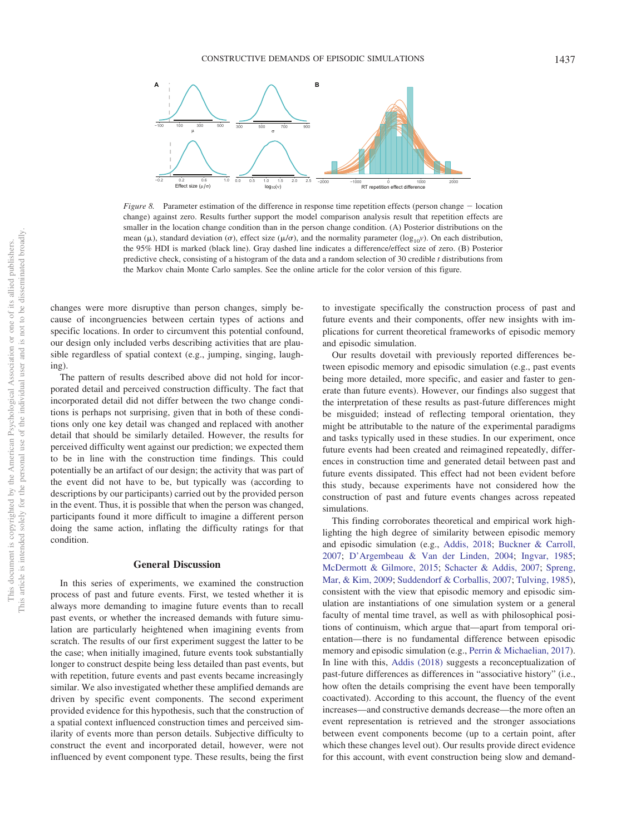

<span id="page-13-0"></span>*Figure 8.* Parameter estimation of the difference in response time repetition effects (person change  $-$  location change) against zero. Results further support the model comparison analysis result that repetition effects are smaller in the location change condition than in the person change condition. (A) Posterior distributions on the mean ( $\mu$ ), standard deviation ( $\sigma$ ), effect size ( $\mu/\sigma$ ), and the normality parameter ( $\log_{10}$ *v*). On each distribution, the 95% HDI is marked (black line). Gray dashed line indicates a difference/effect size of zero. (B) Posterior predictive check, consisting of a histogram of the data and a random selection of 30 credible *t* distributions from the Markov chain Monte Carlo samples. See the online article for the color version of this figure.

changes were more disruptive than person changes, simply because of incongruencies between certain types of actions and specific locations. In order to circumvent this potential confound, our design only included verbs describing activities that are plausible regardless of spatial context (e.g., jumping, singing, laughing).

The pattern of results described above did not hold for incorporated detail and perceived construction difficulty. The fact that incorporated detail did not differ between the two change conditions is perhaps not surprising, given that in both of these conditions only one key detail was changed and replaced with another detail that should be similarly detailed. However, the results for perceived difficulty went against our prediction; we expected them to be in line with the construction time findings. This could potentially be an artifact of our design; the activity that was part of the event did not have to be, but typically was (according to descriptions by our participants) carried out by the provided person in the event. Thus, it is possible that when the person was changed, participants found it more difficult to imagine a different person doing the same action, inflating the difficulty ratings for that condition.

# **General Discussion**

In this series of experiments, we examined the construction process of past and future events. First, we tested whether it is always more demanding to imagine future events than to recall past events, or whether the increased demands with future simulation are particularly heightened when imagining events from scratch. The results of our first experiment suggest the latter to be the case; when initially imagined, future events took substantially longer to construct despite being less detailed than past events, but with repetition, future events and past events became increasingly similar. We also investigated whether these amplified demands are driven by specific event components. The second experiment provided evidence for this hypothesis, such that the construction of a spatial context influenced construction times and perceived similarity of events more than person details. Subjective difficulty to construct the event and incorporated detail, however, were not influenced by event component type. These results, being the first

to investigate specifically the construction process of past and future events and their components, offer new insights with implications for current theoretical frameworks of episodic memory and episodic simulation.

Our results dovetail with previously reported differences between episodic memory and episodic simulation (e.g., past events being more detailed, more specific, and easier and faster to generate than future events). However, our findings also suggest that the interpretation of these results as past-future differences might be misguided; instead of reflecting temporal orientation, they might be attributable to the nature of the experimental paradigms and tasks typically used in these studies. In our experiment, once future events had been created and reimagined repeatedly, differences in construction time and generated detail between past and future events dissipated. This effect had not been evident before this study, because experiments have not considered how the construction of past and future events changes across repeated simulations.

This finding corroborates theoretical and empirical work highlighting the high degree of similarity between episodic memory and episodic simulation (e.g., [Addis, 2018;](#page-14-1) [Buckner & Carroll,](#page-15-29) [2007;](#page-15-29) [D'Argembeau & Van der Linden, 2004;](#page-15-3) [Ingvar, 1985;](#page-15-30) [McDermott & Gilmore, 2015;](#page-16-28) [Schacter & Addis, 2007;](#page-16-6) [Spreng,](#page-16-29) [Mar, & Kim, 2009;](#page-16-29) [Suddendorf & Corballis, 2007;](#page-16-30) [Tulving, 1985\)](#page-17-0), consistent with the view that episodic memory and episodic simulation are instantiations of one simulation system or a general faculty of mental time travel, as well as with philosophical positions of continuism, which argue that—apart from temporal orientation—there is no fundamental difference between episodic memory and episodic simulation (e.g., [Perrin & Michaelian, 2017\)](#page-16-31). In line with this, [Addis \(2018\)](#page-14-1) suggests a reconceptualization of past-future differences as differences in "associative history" (i.e., how often the details comprising the event have been temporally coactivated). According to this account, the fluency of the event increases—and constructive demands decrease—the more often an event representation is retrieved and the stronger associations between event components become (up to a certain point, after which these changes level out). Our results provide direct evidence for this account, with event construction being slow and demand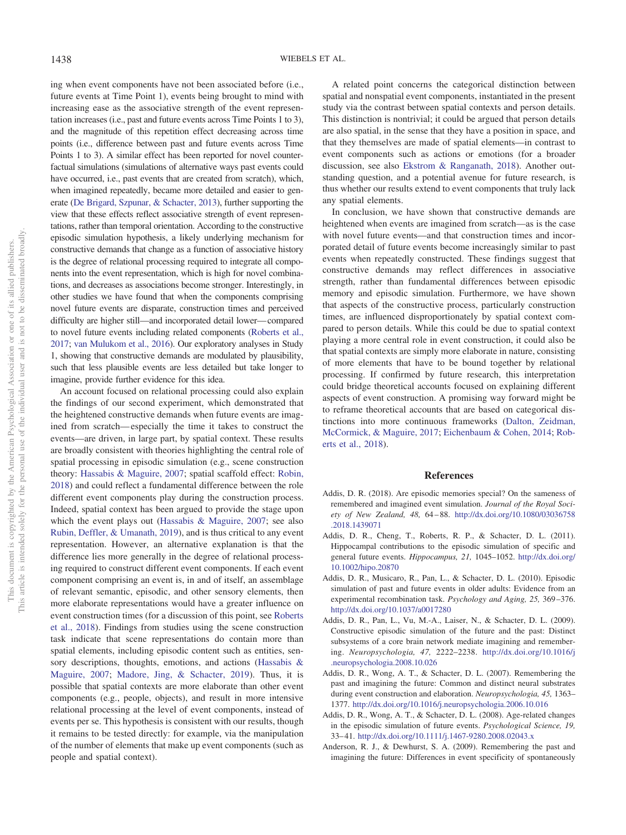ing when event components have not been associated before (i.e., future events at Time Point 1), events being brought to mind with increasing ease as the associative strength of the event representation increases (i.e., past and future events across Time Points 1 to 3), and the magnitude of this repetition effect decreasing across time points (i.e., difference between past and future events across Time Points 1 to 3). A similar effect has been reported for novel counterfactual simulations (simulations of alternative ways past events could have occurred, i.e., past events that are created from scratch), which, when imagined repeatedly, became more detailed and easier to generate [\(De Brigard, Szpunar, & Schacter, 2013\)](#page-15-31), further supporting the view that these effects reflect associative strength of event representations, rather than temporal orientation. According to the constructive episodic simulation hypothesis, a likely underlying mechanism for constructive demands that change as a function of associative history is the degree of relational processing required to integrate all components into the event representation, which is high for novel combinations, and decreases as associations become stronger. Interestingly, in other studies we have found that when the components comprising novel future events are disparate, construction times and perceived difficulty are higher still—and incorporated detail lower—compared to novel future events including related components [\(Roberts et al.,](#page-16-32) [2017;](#page-16-32) [van Mulukom et al., 2016\)](#page-17-14). Our exploratory analyses in Study 1, showing that constructive demands are modulated by plausibility, such that less plausible events are less detailed but take longer to imagine, provide further evidence for this idea.

An account focused on relational processing could also explain the findings of our second experiment, which demonstrated that the heightened constructive demands when future events are imagined from scratch—especially the time it takes to construct the events—are driven, in large part, by spatial context. These results are broadly consistent with theories highlighting the central role of spatial processing in episodic simulation (e.g., scene construction theory: [Hassabis & Maguire, 2007;](#page-15-9) spatial scaffold effect: [Robin,](#page-16-12) [2018\)](#page-16-12) and could reflect a fundamental difference between the role different event components play during the construction process. Indeed, spatial context has been argued to provide the stage upon which the event plays out [\(Hassabis & Maguire, 2007;](#page-15-9) see also [Rubin, Deffler, & Umanath, 2019\)](#page-16-33), and is thus critical to any event representation. However, an alternative explanation is that the difference lies more generally in the degree of relational processing required to construct different event components. If each event component comprising an event is, in and of itself, an assemblage of relevant semantic, episodic, and other sensory elements, then more elaborate representations would have a greater influence on event construction times (for a discussion of this point, see [Roberts](#page-16-5) [et al., 2018\)](#page-16-5). Findings from studies using the scene construction task indicate that scene representations do contain more than spatial elements, including episodic content such as entities, sensory descriptions, thoughts, emotions, and actions [\(Hassabis &](#page-15-9) [Maguire, 2007;](#page-15-9) [Madore, Jing, & Schacter, 2019\)](#page-15-32). Thus, it is possible that spatial contexts are more elaborate than other event components (e.g., people, objects), and result in more intensive relational processing at the level of event components, instead of events per se. This hypothesis is consistent with our results, though it remains to be tested directly: for example, via the manipulation of the number of elements that make up event components (such as people and spatial context).

A related point concerns the categorical distinction between spatial and nonspatial event components, instantiated in the present study via the contrast between spatial contexts and person details. This distinction is nontrivial; it could be argued that person details are also spatial, in the sense that they have a position in space, and that they themselves are made of spatial elements—in contrast to event components such as actions or emotions (for a broader discussion, see also [Ekstrom & Ranganath, 2018\)](#page-15-33). Another outstanding question, and a potential avenue for future research, is thus whether our results extend to event components that truly lack any spatial elements.

In conclusion, we have shown that constructive demands are heightened when events are imagined from scratch—as is the case with novel future events—and that construction times and incorporated detail of future events become increasingly similar to past events when repeatedly constructed. These findings suggest that constructive demands may reflect differences in associative strength, rather than fundamental differences between episodic memory and episodic simulation. Furthermore, we have shown that aspects of the constructive process, particularly construction times, are influenced disproportionately by spatial context compared to person details. While this could be due to spatial context playing a more central role in event construction, it could also be that spatial contexts are simply more elaborate in nature, consisting of more elements that have to be bound together by relational processing. If confirmed by future research, this interpretation could bridge theoretical accounts focused on explaining different aspects of event construction. A promising way forward might be to reframe theoretical accounts that are based on categorical distinctions into more continuous frameworks [\(Dalton, Zeidman,](#page-15-34) [McCormick, & Maguire, 2017;](#page-15-34) [Eichenbaum & Cohen, 2014;](#page-15-35) [Rob](#page-16-5)[erts et al., 2018\)](#page-16-5).

# **References**

- <span id="page-14-1"></span>Addis, D. R. (2018). Are episodic memories special? On the sameness of remembered and imagined event simulation. *Journal of the Royal Society of New Zealand, 48,* 64–88. [http://dx.doi.org/10.1080/03036758](http://dx.doi.org/10.1080/03036758.2018.1439071) [.2018.1439071](http://dx.doi.org/10.1080/03036758.2018.1439071)
- <span id="page-14-4"></span>Addis, D. R., Cheng, T., Roberts, R. P., & Schacter, D. L. (2011). Hippocampal contributions to the episodic simulation of specific and general future events. *Hippocampus, 21,* 1045–1052. [http://dx.doi.org/](http://dx.doi.org/10.1002/hipo.20870) [10.1002/hipo.20870](http://dx.doi.org/10.1002/hipo.20870)
- <span id="page-14-6"></span>Addis, D. R., Musicaro, R., Pan, L., & Schacter, D. L. (2010). Episodic simulation of past and future events in older adults: Evidence from an experimental recombination task. *Psychology and Aging, 25,* 369–376. <http://dx.doi.org/10.1037/a0017280>
- <span id="page-14-5"></span>Addis, D. R., Pan, L., Vu, M.-A., Laiser, N., & Schacter, D. L. (2009). Constructive episodic simulation of the future and the past: Distinct subsystems of a core brain network mediate imagining and remembering. *Neuropsychologia, 47,* 2222–2238. [http://dx.doi.org/10.1016/j](http://dx.doi.org/10.1016/j.neuropsychologia.2008.10.026) [.neuropsychologia.2008.10.026](http://dx.doi.org/10.1016/j.neuropsychologia.2008.10.026)
- <span id="page-14-0"></span>Addis, D. R., Wong, A. T., & Schacter, D. L. (2007). Remembering the past and imagining the future: Common and distinct neural substrates during event construction and elaboration. *Neuropsychologia, 45,* 1363– 1377. <http://dx.doi.org/10.1016/j.neuropsychologia.2006.10.016>
- <span id="page-14-2"></span>Addis, D. R., Wong, A. T., & Schacter, D. L. (2008). Age-related changes in the episodic simulation of future events. *Psychological Science, 19,* 33–41. <http://dx.doi.org/10.1111/j.1467-9280.2008.02043.x>
- <span id="page-14-3"></span>Anderson, R. J., & Dewhurst, S. A. (2009). Remembering the past and imagining the future: Differences in event specificity of spontaneously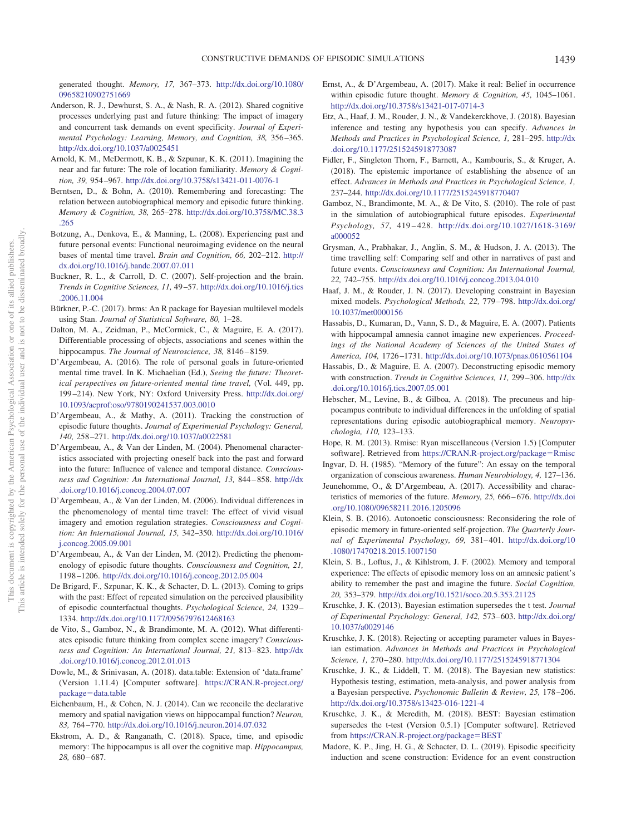generated thought. *Memory, 17,* 367–373. [http://dx.doi.org/10.1080/](http://dx.doi.org/10.1080/09658210902751669) [09658210902751669](http://dx.doi.org/10.1080/09658210902751669)

- <span id="page-15-8"></span>Anderson, R. J., Dewhurst, S. A., & Nash, R. A. (2012). Shared cognitive processes underlying past and future thinking: The impact of imagery and concurrent task demands on event specificity. *Journal of Experimental Psychology: Learning, Memory, and Cognition, 38,* 356–365. <http://dx.doi.org/10.1037/a0025451>
- <span id="page-15-10"></span>Arnold, K. M., McDermott, K. B., & Szpunar, K. K. (2011). Imagining the near and far future: The role of location familiarity. *Memory & Cognition, 39,* 954–967. <http://dx.doi.org/10.3758/s13421-011-0076-1>
- <span id="page-15-2"></span>Berntsen, D., & Bohn, A. (2010). Remembering and forecasting: The relation between autobiographical memory and episodic future thinking. *Memory & Cognition, 38,* 265–278. [http://dx.doi.org/10.3758/MC.38.3](http://dx.doi.org/10.3758/MC.38.3.265) [.265](http://dx.doi.org/10.3758/MC.38.3.265)
- <span id="page-15-7"></span>Botzung, A., Denkova, E., & Manning, L. (2008). Experiencing past and future personal events: Functional neuroimaging evidence on the neural bases of mental time travel. *Brain and Cognition, 66,* 202–212. [http://](http://dx.doi.org/10.1016/j.bandc.2007.07.011) [dx.doi.org/10.1016/j.bandc.2007.07.011](http://dx.doi.org/10.1016/j.bandc.2007.07.011)
- <span id="page-15-29"></span>Buckner, R. L., & Carroll, D. C. (2007). Self-projection and the brain. *Trends in Cognitive Sciences, 11,* 49–57. [http://dx.doi.org/10.1016/j.tics](http://dx.doi.org/10.1016/j.tics.2006.11.004) [.2006.11.004](http://dx.doi.org/10.1016/j.tics.2006.11.004)
- <span id="page-15-23"></span>Bürkner, P.-C. (2017). brms: An R package for Bayesian multilevel models using Stan. *Journal of Statistical Software, 80,* 1–28.
- <span id="page-15-34"></span>Dalton, M. A., Zeidman, P., McCormick, C., & Maguire, E. A. (2017). Differentiable processing of objects, associations and scenes within the hippocampus. *The Journal of Neuroscience, 38,* 8146–8159.
- <span id="page-15-21"></span>D'Argembeau, A. (2016). The role of personal goals in future-oriented mental time travel. In K. Michaelian (Ed.), *Seeing the future: Theoretical perspectives on future-oriented mental time travel,* (Vol. 449, pp. 199–214). New York, NY: Oxford University Press. [http://dx.doi.org/](http://dx.doi.org/10.1093/acprof:oso/9780190241537.003.0010) [10.1093/acprof:oso/9780190241537.003.0010](http://dx.doi.org/10.1093/acprof:oso/9780190241537.003.0010)
- <span id="page-15-14"></span>D'Argembeau, A., & Mathy, A. (2011). Tracking the construction of episodic future thoughts. *Journal of Experimental Psychology: General, 140,* 258–271. <http://dx.doi.org/10.1037/a0022581>
- <span id="page-15-3"></span>D'Argembeau, A., & Van der Linden, M. (2004). Phenomenal characteristics associated with projecting oneself back into the past and forward into the future: Influence of valence and temporal distance. *Consciousness and Cognition: An International Journal, 13,* 844–858. [http://dx](http://dx.doi.org/10.1016/j.concog.2004.07.007) [.doi.org/10.1016/j.concog.2004.07.007](http://dx.doi.org/10.1016/j.concog.2004.07.007)
- <span id="page-15-4"></span>D'Argembeau, A., & Van der Linden, M. (2006). Individual differences in the phenomenology of mental time travel: The effect of vivid visual imagery and emotion regulation strategies. *Consciousness and Cognition: An International Journal, 15,* 342–350. [http://dx.doi.org/10.1016/](http://dx.doi.org/10.1016/j.concog.2005.09.001) [j.concog.2005.09.001](http://dx.doi.org/10.1016/j.concog.2005.09.001)
- <span id="page-15-11"></span>D'Argembeau, A., & Van der Linden, M. (2012). Predicting the phenomenology of episodic future thoughts. *Consciousness and Cognition, 21,* 1198–1206. <http://dx.doi.org/10.1016/j.concog.2012.05.004>
- <span id="page-15-31"></span>De Brigard, F., Szpunar, K. K., & Schacter, D. L. (2013). Coming to grips with the past: Effect of repeated simulation on the perceived plausibility of episodic counterfactual thoughts. *Psychological Science, 24,* 1329– 1334. <http://dx.doi.org/10.1177/0956797612468163>
- <span id="page-15-12"></span>de Vito, S., Gamboz, N., & Brandimonte, M. A. (2012). What differentiates episodic future thinking from complex scene imagery? *Consciousness and Cognition: An International Journal, 21,* 813–823. [http://dx](http://dx.doi.org/10.1016/j.concog.2012.01.013) [.doi.org/10.1016/j.concog.2012.01.013](http://dx.doi.org/10.1016/j.concog.2012.01.013)
- <span id="page-15-19"></span>Dowle, M., & Srinivasan, A. (2018). data.table: Extension of 'data.frame' (Version 1.11.4) [Computer software]. [https://CRAN.R-project.org/](https://CRAN.R-project.org/package=data.table) package=[data.table](https://CRAN.R-project.org/package=data.table)
- <span id="page-15-35"></span>Eichenbaum, H., & Cohen, N. J. (2014). Can we reconcile the declarative memory and spatial navigation views on hippocampal function? *Neuron, 83,* 764–770. <http://dx.doi.org/10.1016/j.neuron.2014.07.032>
- <span id="page-15-33"></span>Ekstrom, A. D., & Ranganath, C. (2018). Space, time, and episodic memory: The hippocampus is all over the cognitive map. *Hippocampus, 28,* 680–687.
- <span id="page-15-13"></span>Ernst, A., & D'Argembeau, A. (2017). Make it real: Belief in occurrence within episodic future thought. *Memory & Cognition, 45,* 1045–1061. <http://dx.doi.org/10.3758/s13421-017-0714-3>
- <span id="page-15-17"></span>Etz, A., Haaf, J. M., Rouder, J. N., & Vandekerckhove, J. (2018). Bayesian inference and testing any hypothesis you can specify. *Advances in Methods and Practices in Psychological Science, 1,* 281–295. [http://dx](http://dx.doi.org/10.1177/2515245918773087) [.doi.org/10.1177/2515245918773087](http://dx.doi.org/10.1177/2515245918773087)
- <span id="page-15-18"></span>Fidler, F., Singleton Thorn, F., Barnett, A., Kambouris, S., & Kruger, A. (2018). The epistemic importance of establishing the absence of an effect. *Advances in Methods and Practices in Psychological Science, 1,* 237–244. <http://dx.doi.org/10.1177/2515245918770407>
- <span id="page-15-5"></span>Gamboz, N., Brandimonte, M. A., & De Vito, S. (2010). The role of past in the simulation of autobiographical future episodes. *Experimental Psychology, 57,* 419–428. [http://dx.doi.org/10.1027/1618-3169/](http://dx.doi.org/10.1027/1618-3169/a000052) [a000052](http://dx.doi.org/10.1027/1618-3169/a000052)
- <span id="page-15-6"></span>Grysman, A., Prabhakar, J., Anglin, S. M., & Hudson, J. A. (2013). The time travelling self: Comparing self and other in narratives of past and future events. *Consciousness and Cognition: An International Journal, 22,* 742–755. <http://dx.doi.org/10.1016/j.concog.2013.04.010>
- <span id="page-15-20"></span>Haaf, J. M., & Rouder, J. N. (2017). Developing constraint in Bayesian mixed models. *Psychological Methods, 22,* 779–798. [http://dx.doi.org/](http://dx.doi.org/10.1037/met0000156) [10.1037/met0000156](http://dx.doi.org/10.1037/met0000156)
- <span id="page-15-0"></span>Hassabis, D., Kumaran, D., Vann, S. D., & Maguire, E. A. (2007). Patients with hippocampal amnesia cannot imagine new experiences. *Proceedings of the National Academy of Sciences of the United States of America, 104,* 1726–1731. <http://dx.doi.org/10.1073/pnas.0610561104>
- <span id="page-15-9"></span>Hassabis, D., & Maguire, E. A. (2007). Deconstructing episodic memory with construction. *Trends in Cognitive Sciences, 11,* 299–306. [http://dx](http://dx.doi.org/10.1016/j.tics.2007.05.001) [.doi.org/10.1016/j.tics.2007.05.001](http://dx.doi.org/10.1016/j.tics.2007.05.001)
- <span id="page-15-16"></span>Hebscher, M., Levine, B., & Gilboa, A. (2018). The precuneus and hippocampus contribute to individual differences in the unfolding of spatial representations during episodic autobiographical memory. *Neuropsychologia, 110,* 123–133.
- <span id="page-15-24"></span>Hope, R. M. (2013). Rmisc: Ryan miscellaneous (Version 1.5) [Computer software]. Retrieved from [https://CRAN.R-project.org/package](https://CRAN.R-project.org/package=Rmisc)=Rmisc
- <span id="page-15-30"></span>Ingvar, D. H. (1985). "Memory of the future": An essay on the temporal organization of conscious awareness. *Human Neurobiology, 4,* 127–136.
- <span id="page-15-15"></span>Jeunehomme, O., & D'Argembeau, A. (2017). Accessibility and characteristics of memories of the future. *Memory, 25,* 666–676. [http://dx.doi](http://dx.doi.org/10.1080/09658211.2016.1205096) [.org/10.1080/09658211.2016.1205096](http://dx.doi.org/10.1080/09658211.2016.1205096)
- <span id="page-15-22"></span>Klein, S. B. (2016). Autonoetic consciousness: Reconsidering the role of episodic memory in future-oriented self-projection. *The Quarterly Journal of Experimental Psychology, 69,* 381–401. [http://dx.doi.org/10](http://dx.doi.org/10.1080/17470218.2015.1007150) [.1080/17470218.2015.1007150](http://dx.doi.org/10.1080/17470218.2015.1007150)
- <span id="page-15-1"></span>Klein, S. B., Loftus, J., & Kihlstrom, J. F. (2002). Memory and temporal experience: The effects of episodic memory loss on an amnesic patient's ability to remember the past and imagine the future. *Social Cognition, 20,* 353–379. <http://dx.doi.org/10.1521/soco.20.5.353.21125>
- <span id="page-15-26"></span>Kruschke, J. K. (2013). Bayesian estimation supersedes the t test. *Journal of Experimental Psychology: General, 142,* 573–603. [http://dx.doi.org/](http://dx.doi.org/10.1037/a0029146) [10.1037/a0029146](http://dx.doi.org/10.1037/a0029146)
- <span id="page-15-27"></span>Kruschke, J. K. (2018). Rejecting or accepting parameter values in Bayesian estimation. *Advances in Methods and Practices in Psychological Science, 1,* 270–280. <http://dx.doi.org/10.1177/2515245918771304>
- <span id="page-15-28"></span>Kruschke, J. K., & Liddell, T. M. (2018). The Bayesian new statistics: Hypothesis testing, estimation, meta-analysis, and power analysis from a Bayesian perspective. *Psychonomic Bulletin & Review, 25,* 178–206. <http://dx.doi.org/10.3758/s13423-016-1221-4>
- <span id="page-15-25"></span>Kruschke, J. K., & Meredith, M. (2018). BEST: Bayesian estimation supersedes the t-test (Version 0.5.1) [Computer software]. Retrieved from [https://CRAN.R-project.org/package](https://CRAN.R-project.org/package=BEST)=BEST
- <span id="page-15-32"></span>Madore, K. P., Jing, H. G., & Schacter, D. L. (2019). Episodic specificity induction and scene construction: Evidence for an event construction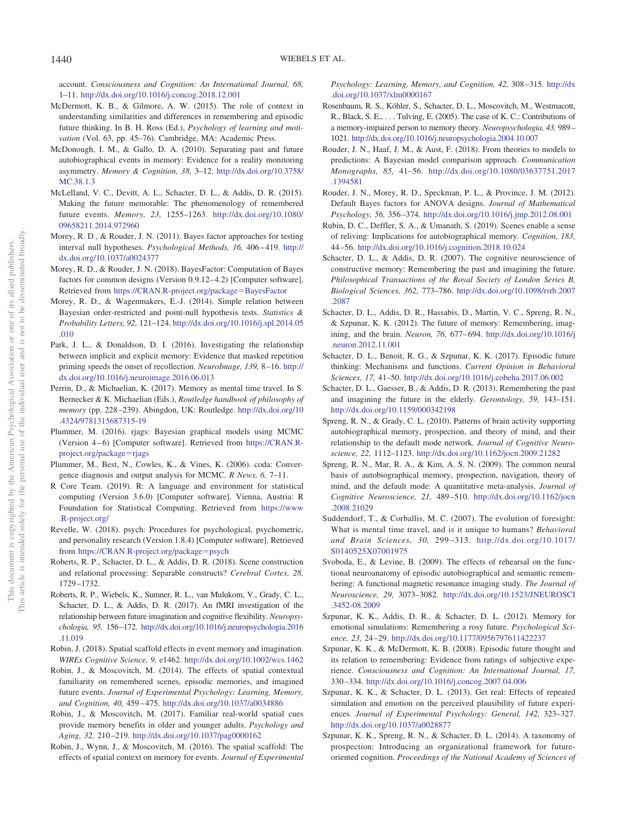account. *Consciousness and Cognition: An International Journal, 68,* 1–11. <http://dx.doi.org/10.1016/j.concog.2018.12.001>

- <span id="page-16-28"></span>McDermott, K. B., & Gilmore, A. W. (2015). The role of context in understanding similarities and differences in remembering and episodic future thinking. In B. H. Ross (Ed.), *Psychology of learning and motivation* (Vol. 63, pp. 45–76). Cambridge, MA: Academic Press.
- <span id="page-16-7"></span>McDonough, I. M., & Gallo, D. A. (2010). Separating past and future autobiographical events in memory: Evidence for a reality monitoring asymmetry. *Memory & Cognition, 38,* 3–12. [http://dx.doi.org/10.3758/](http://dx.doi.org/10.3758/MC.38.1.3) [MC.38.1.3](http://dx.doi.org/10.3758/MC.38.1.3)
- <span id="page-16-17"></span>McLelland, V. C., Devitt, A. L., Schacter, D. L., & Addis, D. R. (2015). Making the future memorable: The phenomenology of remembered future events. *Memory, 23,* 1255–1263. [http://dx.doi.org/10.1080/](http://dx.doi.org/10.1080/09658211.2014.972960) [09658211.2014.972960](http://dx.doi.org/10.1080/09658211.2014.972960)
- <span id="page-16-21"></span>Morey, R. D., & Rouder, J. N. (2011). Bayes factor approaches for testing interval null hypotheses. *Psychological Methods, 16,* 406–419. [http://](http://dx.doi.org/10.1037/a0024377) [dx.doi.org/10.1037/a0024377](http://dx.doi.org/10.1037/a0024377)
- <span id="page-16-20"></span>Morey, R. D., & Rouder, J. N. (2018). BayesFactor: Computation of Bayes factors for common designs (Version 0.9.12–4.2) [Computer software]. Retrieved from [https://CRAN.R-project.org/package](https://CRAN.R-project.org/package=BayesFactor)=BayesFactor
- <span id="page-16-22"></span>Morey, R. D., & Wagenmakers, E.-J. (2014). Simple relation between Bayesian order-restricted and point-null hypothesis tests. *Statistics & Probability Letters, 92,* 121–124. [http://dx.doi.org/10.1016/j.spl.2014.05](http://dx.doi.org/10.1016/j.spl.2014.05.010) [.010](http://dx.doi.org/10.1016/j.spl.2014.05.010)
- <span id="page-16-11"></span>Park, J. L., & Donaldson, D. I. (2016). Investigating the relationship between implicit and explicit memory: Evidence that masked repetition priming speeds the onset of recollection. *NeuroImage, 139,* 8–16. [http://](http://dx.doi.org/10.1016/j.neuroimage.2016.06.013) [dx.doi.org/10.1016/j.neuroimage.2016.06.013](http://dx.doi.org/10.1016/j.neuroimage.2016.06.013)
- <span id="page-16-31"></span>Perrin, D., & Michaelian, K. (2017). Memory as mental time travel. In S. Bernecker & K. Michaelian (Eds.), *Routledge handbook of philosophy of memory* (pp. 228–239). Abingdon, UK: Routledge. [http://dx.doi.org/10](http://dx.doi.org/10.4324/9781315687315-19) [.4324/9781315687315-19](http://dx.doi.org/10.4324/9781315687315-19)
- <span id="page-16-27"></span>Plummer, M. (2016). rjags: Bayesian graphical models using MCMC (Version 4–6) [Computer software]. Retrieved from [https://CRAN.R](https://CRAN.R-project.org/package=rjags)[project.org/package](https://CRAN.R-project.org/package=rjags)=rjags
- <span id="page-16-24"></span>Plummer, M., Best, N., Cowles, K., & Vines, K. (2006). coda: Convergence diagnosis and output analysis for MCMC. *R News, 6,* 7–11.
- <span id="page-16-19"></span>R Core Team. (2019). R: A language and environment for statistical computing (Version 3.6.0) [Computer software]. Vienna, Austria: R Foundation for Statistical Computing. Retrieved from [https://www](https://www.R-project.org/) [.R-project.org/](https://www.R-project.org/)
- <span id="page-16-26"></span>Revelle, W. (2018). psych: Procedures for psychological, psychometric, and personality research (Version 1.8.4) [Computer software]. Retrieved from [https://CRAN.R-project.org/package](https://CRAN.R-project.org/package=psych)=psych
- <span id="page-16-5"></span>Roberts, R. P., Schacter, D. L., & Addis, D. R. (2018). Scene construction and relational processing: Separable constructs? *Cerebral Cortex, 28,* 1729–1732.
- <span id="page-16-32"></span>Roberts, R. P., Wiebels, K., Sumner, R. L., van Mulukom, V., Grady, C. L., Schacter, D. L., & Addis, D. R. (2017). An fMRI investigation of the relationship between future imagination and cognitive flexibility. *Neuropsychologia, 95,* 156–172. [http://dx.doi.org/10.1016/j.neuropsychologia.2016](http://dx.doi.org/10.1016/j.neuropsychologia.2016.11.019) [.11.019](http://dx.doi.org/10.1016/j.neuropsychologia.2016.11.019)
- <span id="page-16-12"></span>Robin, J. (2018). Spatial scaffold effects in event memory and imagination. *WIREs Cognitive Science, 9,* e1462. <http://dx.doi.org/10.1002/wcs.1462>
- <span id="page-16-13"></span>Robin, J., & Moscovitch, M. (2014). The effects of spatial contextual familiarity on remembered scenes, episodic memories, and imagined future events. *Journal of Experimental Psychology: Learning, Memory, and Cognition, 40,* 459–475. <http://dx.doi.org/10.1037/a0034886>
- <span id="page-16-14"></span>Robin, J., & Moscovitch, M. (2017). Familiar real-world spatial cues provide memory benefits in older and younger adults. *Psychology and Aging, 32,* 210–219. <http://dx.doi.org/10.1037/pag0000162>
- <span id="page-16-16"></span>Robin, J., Wynn, J., & Moscovitch, M. (2016). The spatial scaffold: The effects of spatial context on memory for events. *Journal of Experimental*

*Psychology: Learning, Memory, and Cognition, 42,* 308–315. [http://dx](http://dx.doi.org/10.1037/xlm0000167) [.doi.org/10.1037/xlm0000167](http://dx.doi.org/10.1037/xlm0000167)

- <span id="page-16-3"></span>Rosenbaum, R. S., Köhler, S., Schacter, D. L., Moscovitch, M., Westmacott, R., Black, S. E.,... Tulving, E. (2005). The case of K. C.: Contributions of a memory-impaired person to memory theory. *Neuropsychologia, 43,* 989– 1021. <http://dx.doi.org/10.1016/j.neuropsychologia.2004.10.007>
- <span id="page-16-23"></span>Rouder, J. N., Haaf, J. M., & Aust, F. (2018). From theories to models to predictions: A Bayesian model comparison approach. *Communication Monographs, 85,* 41–56. [http://dx.doi.org/10.1080/03637751.2017](http://dx.doi.org/10.1080/03637751.2017.1394581) [.1394581](http://dx.doi.org/10.1080/03637751.2017.1394581)
- <span id="page-16-18"></span>Rouder, J. N., Morey, R. D., Speckman, P. L., & Province, J. M. (2012). Default Bayes factors for ANOVA designs. *Journal of Mathematical Psychology, 56,* 356–374. <http://dx.doi.org/10.1016/j.jmp.2012.08.001>
- <span id="page-16-33"></span>Rubin, D. C., Deffler, S. A., & Umanath, S. (2019). Scenes enable a sense of reliving: Implications for autobiographical memory. *Cognition, 183,* 44–56. <http://dx.doi.org/10.1016/j.cognition.2018.10.024>
- <span id="page-16-6"></span>Schacter, D. L., & Addis, D. R. (2007). The cognitive neuroscience of constructive memory: Remembering the past and imagining the future. *Philosophical Transactions of the Royal Society of London Series B, Biological Sciences, 362,* 773–786. [http://dx.doi.org/10.1098/rstb.2007](http://dx.doi.org/10.1098/rstb.2007.2087) [.2087](http://dx.doi.org/10.1098/rstb.2007.2087)
- <span id="page-16-1"></span>Schacter, D. L., Addis, D. R., Hassabis, D., Martin, V. C., Spreng, R. N., & Szpunar, K. K. (2012). The future of memory: Remembering, imagining, and the brain. *Neuron, 76,* 677–694. [http://dx.doi.org/10.1016/j](http://dx.doi.org/10.1016/j.neuron.2012.11.001) [.neuron.2012.11.001](http://dx.doi.org/10.1016/j.neuron.2012.11.001)
- <span id="page-16-2"></span>Schacter, D. L., Benoit, R. G., & Szpunar, K. K. (2017). Episodic future thinking: Mechanisms and functions. *Current Opinion in Behavioral Sciences, 17,* 41–50. <http://dx.doi.org/10.1016/j.cobeha.2017.06.002>
- <span id="page-16-4"></span>Schacter, D. L., Gaesser, B., & Addis, D. R. (2013). Remembering the past and imagining the future in the elderly. *Gerontology, 59,* 143–151. <http://dx.doi.org/10.1159/000342198>
- <span id="page-16-8"></span>Spreng, R. N., & Grady, C. L. (2010). Patterns of brain activity supporting autobiographical memory, prospection, and theory of mind, and their relationship to the default mode network. *Journal of Cognitive Neuroscience, 22,* 1112–1123. <http://dx.doi.org/10.1162/jocn.2009.21282>
- <span id="page-16-29"></span>Spreng, R. N., Mar, R. A., & Kim, A. S. N. (2009). The common neural basis of autobiographical memory, prospection, navigation, theory of mind, and the default mode: A quantitative meta-analysis. *Journal of Cognitive Neuroscience, 21,* 489–510. [http://dx.doi.org/10.1162/jocn](http://dx.doi.org/10.1162/jocn.2008.21029) [.2008.21029](http://dx.doi.org/10.1162/jocn.2008.21029)
- <span id="page-16-30"></span>Suddendorf, T., & Corballis, M. C. (2007). The evolution of foresight: What is mental time travel, and is it unique to humans? *Behavioral and Brain Sciences, 30,* 299–313. [http://dx.doi.org/10.1017/](http://dx.doi.org/10.1017/S0140525X07001975) [S0140525X07001975](http://dx.doi.org/10.1017/S0140525X07001975)
- <span id="page-16-10"></span>Svoboda, E., & Levine, B. (2009). The effects of rehearsal on the functional neuroanatomy of episodic autobiographical and semantic remembering: A functional magnetic resonance imaging study. *The Journal of Neuroscience, 29,* 3073–3082. [http://dx.doi.org/10.1523/JNEUROSCI](http://dx.doi.org/10.1523/JNEUROSCI.3452-08.2009) [.3452-08.2009](http://dx.doi.org/10.1523/JNEUROSCI.3452-08.2009)
- <span id="page-16-25"></span>Szpunar, K. K., Addis, D. R., & Schacter, D. L. (2012). Memory for emotional simulations: Remembering a rosy future. *Psychological Science, 23,* 24–29. <http://dx.doi.org/10.1177/0956797611422237>
- <span id="page-16-15"></span>Szpunar, K. K., & McDermott, K. B. (2008). Episodic future thought and its relation to remembering: Evidence from ratings of subjective experience. *Consciousness and Cognition: An International Journal, 17,* 330–334. <http://dx.doi.org/10.1016/j.concog.2007.04.006>
- <span id="page-16-9"></span>Szpunar, K. K., & Schacter, D. L. (2013). Get real: Effects of repeated simulation and emotion on the perceived plausibility of future experiences. *Journal of Experimental Psychology: General, 142,* 323–327. <http://dx.doi.org/10.1037/a0028877>
- <span id="page-16-0"></span>Szpunar, K. K., Spreng, R. N., & Schacter, D. L. (2014). A taxonomy of prospection: Introducing an organizational framework for futureoriented cognition. *Proceedings of the National Academy of Sciences of*